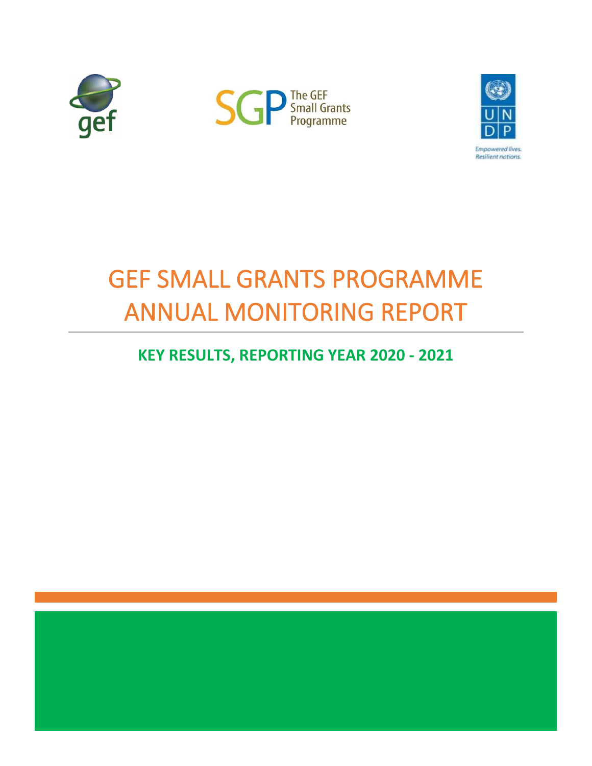





# GEF SMALL GRANTS PROGRAMME ANNUAL MONITORING REPORT

# **KEY RESULTS, REPORTING YEAR 2020 - 2021**

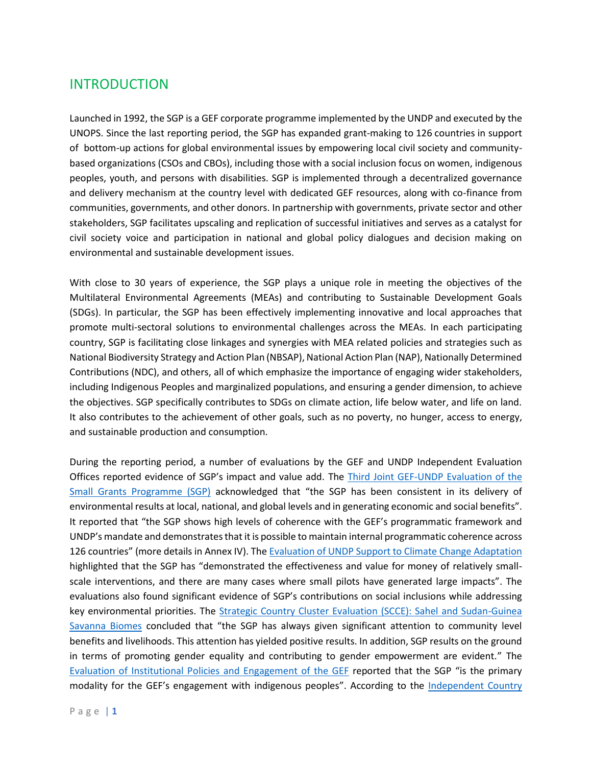# INTRODUCTION

Launched in 1992, the SGP is a GEF corporate programme implemented by the UNDP and executed by the UNOPS. Since the last reporting period, the SGP has expanded grant-making to 126 countries in support of bottom-up actions for global environmental issues by empowering local civil society and communitybased organizations (CSOs and CBOs), including those with a social inclusion focus on women, indigenous peoples, youth, and persons with disabilities. SGP is implemented through a decentralized governance and delivery mechanism at the country level with dedicated GEF resources, along with co-finance from communities, governments, and other donors. In partnership with governments, private sector and other stakeholders, SGP facilitates upscaling and replication of successful initiatives and serves as a catalyst for civil society voice and participation in national and global policy dialogues and decision making on environmental and sustainable development issues.

With close to 30 years of experience, the SGP plays a unique role in meeting the objectives of the Multilateral Environmental Agreements (MEAs) and contributing to Sustainable Development Goals (SDGs). In particular, the SGP has been effectively implementing innovative and local approaches that promote multi-sectoral solutions to environmental challenges across the MEAs. In each participating country, SGP is facilitating close linkages and synergies with MEA related policies and strategies such as National Biodiversity Strategy and Action Plan (NBSAP), National Action Plan (NAP), Nationally Determined Contributions (NDC), and others, all of which emphasize the importance of engaging wider stakeholders, including Indigenous Peoples and marginalized populations, and ensuring a gender dimension, to achieve the objectives. SGP specifically contributes to SDGs on climate action, life below water, and life on land. It also contributes to the achievement of other goals, such as no poverty, no hunger, access to energy, and sustainable production and consumption.

During the reporting period, a number of evaluations by the GEF and UNDP Independent Evaluation Offices reported evidence of SGP's impact and value add. The [Third Joint GEF-UNDP Evaluation of the](https://www.gefieo.org/evaluations/sgp-2021)  [Small Grants Programme \(SGP\)](https://www.gefieo.org/evaluations/sgp-2021) acknowledged that "the SGP has been consistent in its delivery of environmental results at local, national, and global levels and in generating economic and social benefits". It reported that "the SGP shows high levels of coherence with the GEF's programmatic framework and UNDP's mandate and demonstrates that it is possible to maintain internal programmatic coherence across 126 countries" (more details in Annex IV). Th[e Evaluation of UNDP Support to Climate Change Adaptation](http://web.undp.org/evaluation/evaluations/thematic/climate.shtml) highlighted that the SGP has "demonstrated the effectiveness and value for money of relatively smallscale interventions, and there are many cases where small pilots have generated large impacts". The evaluations also found significant evidence of SGP's contributions on social inclusions while addressing key environmental priorities. The Strategic Country Cluster Evaluation (SCCE): Sahel and Sudan-Guinea [Savanna Biomes](https://www.gefieo.org/evaluations/scce-biomes) concluded that "the SGP has always given significant attention to community level benefits and livelihoods. This attention has yielded positive results. In addition, SGP results on the ground in terms of promoting gender equality and contributing to gender empowerment are evident." The [Evaluation of Institutional Policies and Engagement of the GEF](https://www.gefieo.org/evaluations/gef-policies-2020) reported that the SGP "is the primary modality for the GEF's engagement with indigenous peoples". According to the [Independent Country](http://web.undp.org/evaluation/evaluations/adr/belize.shtml)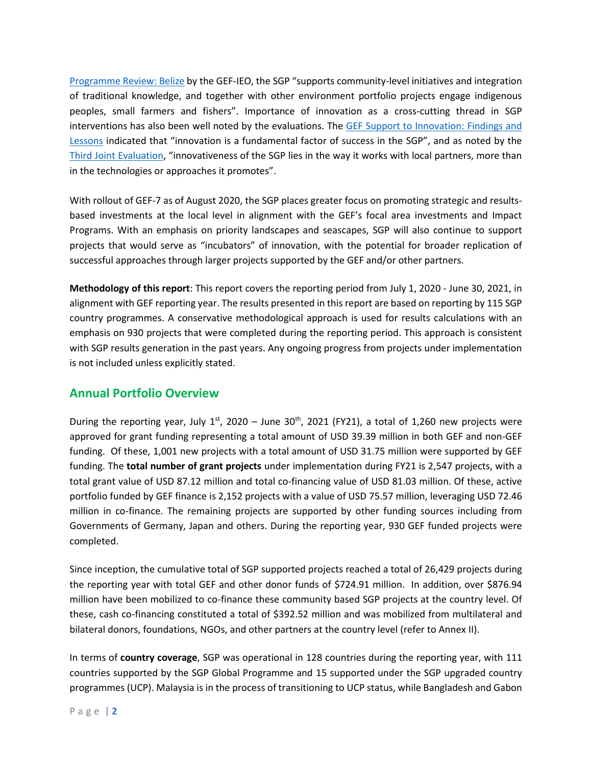[Programme Review:](http://web.undp.org/evaluation/evaluations/adr/belize.shtml) Belize by the GEF-IEO, the SGP "supports community-level initiatives and integration of traditional knowledge, and together with other environment portfolio projects engage indigenous peoples, small farmers and fishers". Importance of innovation as a cross-cutting thread in SGP interventions has also been well noted by the evaluations. The [GEF Support to Innovation: Findings and](https://www.gefieo.org/evaluations/innovation)  [Lessons](https://www.gefieo.org/evaluations/innovation) indicated that "innovation is a fundamental factor of success in the SGP", and as noted by the [Third Joint Evaluation](https://www.gefieo.org/evaluations/sgp-2021), "innovativeness of the SGP lies in the way it works with local partners, more than in the technologies or approaches it promotes".

With rollout of GEF-7 as of August 2020, the SGP places greater focus on promoting strategic and resultsbased investments at the local level in alignment with the GEF's focal area investments and Impact Programs. With an emphasis on priority landscapes and seascapes, SGP will also continue to support projects that would serve as "incubators" of innovation, with the potential for broader replication of successful approaches through larger projects supported by the GEF and/or other partners.

**Methodology of this report**: This report covers the reporting period from July 1, 2020 - June 30, 2021, in alignment with GEF reporting year. The results presented in this report are based on reporting by 115 SGP country programmes. A conservative methodological approach is used for results calculations with an emphasis on 930 projects that were completed during the reporting period. This approach is consistent with SGP results generation in the past years. Any ongoing progress from projects under implementation is not included unless explicitly stated.

### **Annual Portfolio Overview**

During the reporting year, July  $1^{st}$ , 2020 – June 30<sup>th</sup>, 2021 (FY21), a total of 1,260 new projects were approved for grant funding representing a total amount of USD 39.39 million in both GEF and non-GEF funding. Of these, 1,001 new projects with a total amount of USD 31.75 million were supported by GEF funding. The **total number of grant projects** under implementation during FY21 is 2,547 projects, with a total grant value of USD 87.12 million and total co-financing value of USD 81.03 million. Of these, active portfolio funded by GEF finance is 2,152 projects with a value of USD 75.57 million, leveraging USD 72.46 million in co-finance. The remaining projects are supported by other funding sources including from Governments of Germany, Japan and others. During the reporting year, 930 GEF funded projects were completed.

Since inception, the cumulative total of SGP supported projects reached a total of 26,429 projects during the reporting year with total GEF and other donor funds of \$724.91 million. In addition, over \$876.94 million have been mobilized to co-finance these community based SGP projects at the country level. Of these, cash co-financing constituted a total of \$392.52 million and was mobilized from multilateral and bilateral donors, foundations, NGOs, and other partners at the country level (refer to Annex II).

In terms of **country coverage**, SGP was operational in 128 countries during the reporting year, with 111 countries supported by the SGP Global Programme and 15 supported under the SGP upgraded country programmes (UCP). Malaysia is in the process of transitioning to UCP status, while Bangladesh and Gabon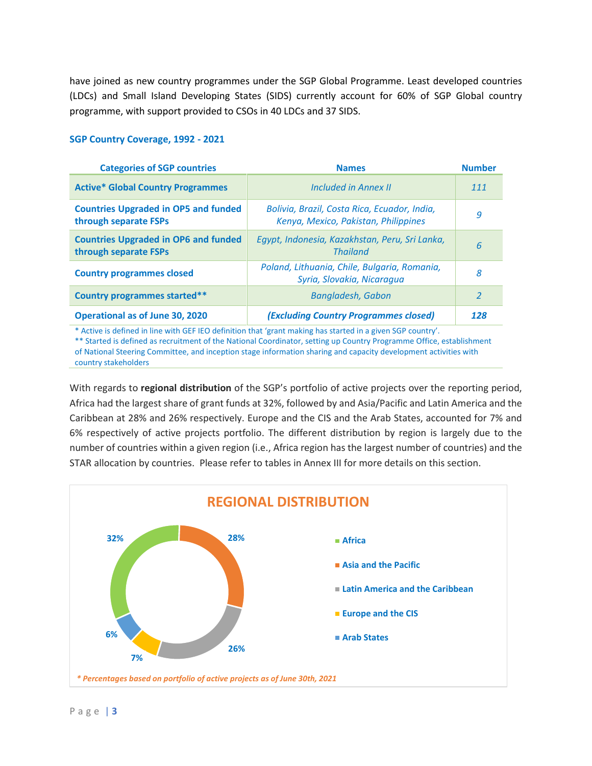have joined as new country programmes under the SGP Global Programme. Least developed countries (LDCs) and Small Island Developing States (SIDS) currently account for 60% of SGP Global country programme, with support provided to CSOs in 40 LDCs and 37 SIDS.

#### **SGP Country Coverage, 1992 - 2021**

| <b>Categories of SGP countries</b>                                   | <b>Names</b>                                                                         | <b>Number</b> |
|----------------------------------------------------------------------|--------------------------------------------------------------------------------------|---------------|
| <b>Active* Global Country Programmes</b>                             | <b>Included in Annex II</b>                                                          | 111           |
| <b>Countries Upgraded in OP5 and funded</b><br>through separate FSPs | Bolivia, Brazil, Costa Rica, Ecuador, India,<br>Kenya, Mexico, Pakistan, Philippines | 9             |
| <b>Countries Upgraded in OP6 and funded</b><br>through separate FSPs | Egypt, Indonesia, Kazakhstan, Peru, Sri Lanka,<br><b>Thailand</b>                    | 6             |
| <b>Country programmes closed</b>                                     | Poland, Lithuania, Chile, Bulgaria, Romania,<br>Syria, Slovakia, Nicaragua           | 8             |
| <b>Country programmes started**</b>                                  | <b>Bangladesh, Gabon</b>                                                             | $\mathcal{P}$ |
| <b>Operational as of June 30, 2020</b>                               | (Excluding Country Programmes closed)                                                | 128           |

\* Active is defined in line with GEF IEO definition that 'grant making has started in a given SGP country'.

\*\* Started is defined as recruitment of the National Coordinator, setting up Country Programme Office, establishment of National Steering Committee, and inception stage information sharing and capacity development activities with country stakeholders

With regards to **regional distribution** of the SGP's portfolio of active projects over the reporting period, Africa had the largest share of grant funds at 32%, followed by and Asia/Pacific and Latin America and the Caribbean at 28% and 26% respectively. Europe and the CIS and the Arab States, accounted for 7% and 6% respectively of active projects portfolio. The different distribution by region is largely due to the number of countries within a given region (i.e., Africa region has the largest number of countries) and the STAR allocation by countries. Please refer to tables in Annex III for more details on this section.

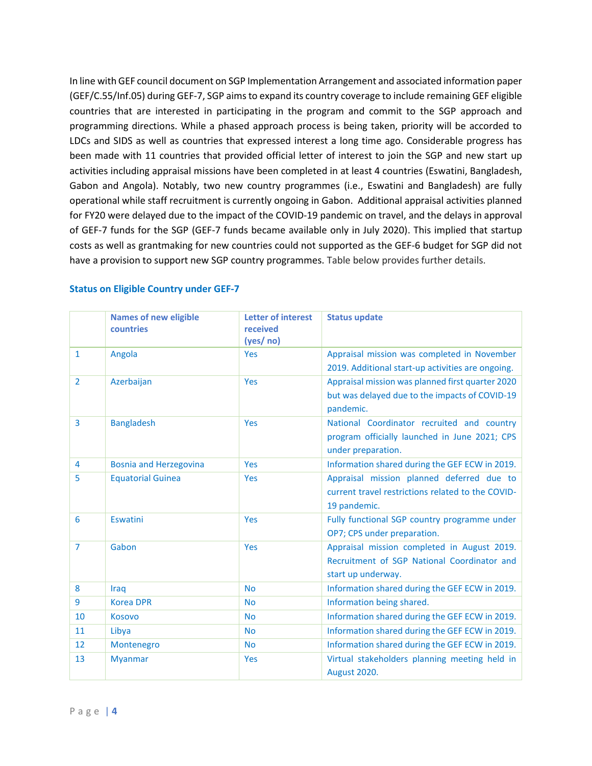In line with GEF council document on SGP Implementation Arrangement and associated information paper [\(GEF/C.55/Inf.05\)](https://www.thegef.org/sites/default/files/council-meeting-documents/SGP%20Info%20Paper%20Results%20and%20core%20Allocation.pdf) during GEF-7, SGP aims to expand its country coverage to include remaining GEF eligible countries that are interested in participating in the program and commit to the SGP approach and programming directions. While a phased approach process is being taken, priority will be accorded to LDCs and SIDS as well as countries that expressed interest a long time ago. Considerable progress has been made with 11 countries that provided official letter of interest to join the SGP and new start up activities including appraisal missions have been completed in at least 4 countries (Eswatini, Bangladesh, Gabon and Angola). Notably, two new country programmes (i.e., Eswatini and Bangladesh) are fully operational while staff recruitment is currently ongoing in Gabon. Additional appraisal activities planned for FY20 were delayed due to the impact of the COVID-19 pandemic on travel, and the delays in approval of GEF-7 funds for the SGP (GEF-7 funds became available only in July 2020). This implied that startup costs as well as grantmaking for new countries could not supported as the GEF-6 budget for SGP did not have a provision to support new SGP country programmes. Table below provides further details.

|                | <b>Names of new eligible</b><br>countries | <b>Letter of interest</b><br>received<br>(yes/ no) | <b>Status update</b>                              |
|----------------|-------------------------------------------|----------------------------------------------------|---------------------------------------------------|
| $\mathbf{1}$   | Angola                                    | <b>Yes</b>                                         | Appraisal mission was completed in November       |
|                |                                           |                                                    | 2019. Additional start-up activities are ongoing. |
| $\overline{2}$ | Azerbaijan                                | Yes                                                | Appraisal mission was planned first quarter 2020  |
|                |                                           |                                                    | but was delayed due to the impacts of COVID-19    |
|                |                                           |                                                    | pandemic.                                         |
| $\overline{3}$ | <b>Bangladesh</b>                         | Yes                                                | National Coordinator recruited and country        |
|                |                                           |                                                    | program officially launched in June 2021; CPS     |
|                |                                           |                                                    | under preparation.                                |
| 4              | <b>Bosnia and Herzegovina</b>             | <b>Yes</b>                                         | Information shared during the GEF ECW in 2019.    |
| 5              | <b>Equatorial Guinea</b>                  | <b>Yes</b>                                         | Appraisal mission planned deferred due to         |
|                |                                           |                                                    | current travel restrictions related to the COVID- |
|                |                                           |                                                    | 19 pandemic.                                      |
| 6              | Eswatini                                  | Yes                                                | Fully functional SGP country programme under      |
|                |                                           |                                                    | OP7; CPS under preparation.                       |
| $\overline{7}$ | Gabon                                     | Yes                                                | Appraisal mission completed in August 2019.       |
|                |                                           |                                                    | Recruitment of SGP National Coordinator and       |
|                |                                           |                                                    | start up underway.                                |
| 8              | Iraq                                      | <b>No</b>                                          | Information shared during the GEF ECW in 2019.    |
| 9              | <b>Korea DPR</b>                          | <b>No</b>                                          | Information being shared.                         |
| 10             | <b>Kosovo</b>                             | <b>No</b>                                          | Information shared during the GEF ECW in 2019.    |
| 11             | Libya                                     | <b>No</b>                                          | Information shared during the GEF ECW in 2019.    |
| 12             | Montenegro                                | <b>No</b>                                          | Information shared during the GEF ECW in 2019.    |
| 13             | <b>Myanmar</b>                            | Yes                                                | Virtual stakeholders planning meeting held in     |
|                |                                           |                                                    | <b>August 2020.</b>                               |

### **Status on Eligible Country under GEF-7**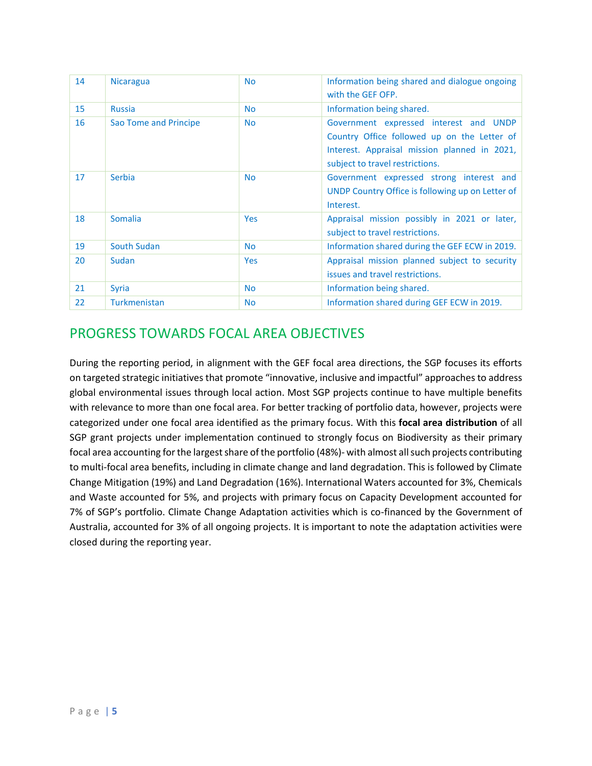| 14 | <b>Nicaragua</b>      | <b>No</b>  | Information being shared and dialogue ongoing<br>with the GEF OFP.                                                                                                       |  |  |
|----|-----------------------|------------|--------------------------------------------------------------------------------------------------------------------------------------------------------------------------|--|--|
| 15 | <b>Russia</b>         | <b>No</b>  | Information being shared.                                                                                                                                                |  |  |
| 16 | Sao Tome and Principe | <b>No</b>  | Government expressed interest and UNDP<br>Country Office followed up on the Letter of<br>Interest. Appraisal mission planned in 2021,<br>subject to travel restrictions. |  |  |
| 17 | Serbia                | <b>No</b>  | Government expressed strong interest and<br>UNDP Country Office is following up on Letter of<br>Interest.                                                                |  |  |
| 18 | <b>Somalia</b>        | <b>Yes</b> | Appraisal mission possibly in 2021 or later,<br>subject to travel restrictions.                                                                                          |  |  |
| 19 | South Sudan           | <b>No</b>  | Information shared during the GEF ECW in 2019.                                                                                                                           |  |  |
| 20 | Sudan                 | <b>Yes</b> | Appraisal mission planned subject to security<br>issues and travel restrictions.                                                                                         |  |  |
| 21 | <b>Syria</b>          | <b>No</b>  | Information being shared.                                                                                                                                                |  |  |
| 22 | Turkmenistan          | <b>No</b>  | Information shared during GEF ECW in 2019.                                                                                                                               |  |  |

# PROGRESS TOWARDS FOCAL AREA OBJECTIVES

During the reporting period, in alignment with the GEF focal area directions, the SGP focuses its efforts on targeted strategic initiatives that promote "innovative, inclusive and impactful" approaches to address global environmental issues through local action. Most SGP projects continue to have multiple benefits with relevance to more than one focal area. For better tracking of portfolio data, however, projects were categorized under one focal area identified as the primary focus. With this **focal area distribution** of all SGP grant projects under implementation continued to strongly focus on Biodiversity as their primary focal area accounting for the largest share of the portfolio (48%)- with almost all such projects contributing to multi-focal area benefits, including in climate change and land degradation. This is followed by Climate Change Mitigation (19%) and Land Degradation (16%). International Waters accounted for 3%, Chemicals and Waste accounted for 5%, and projects with primary focus on Capacity Development accounted for 7% of SGP's portfolio. Climate Change Adaptation activities which is co-financed by the Government of Australia, accounted for 3% of all ongoing projects. It is important to note the adaptation activities were closed during the reporting year.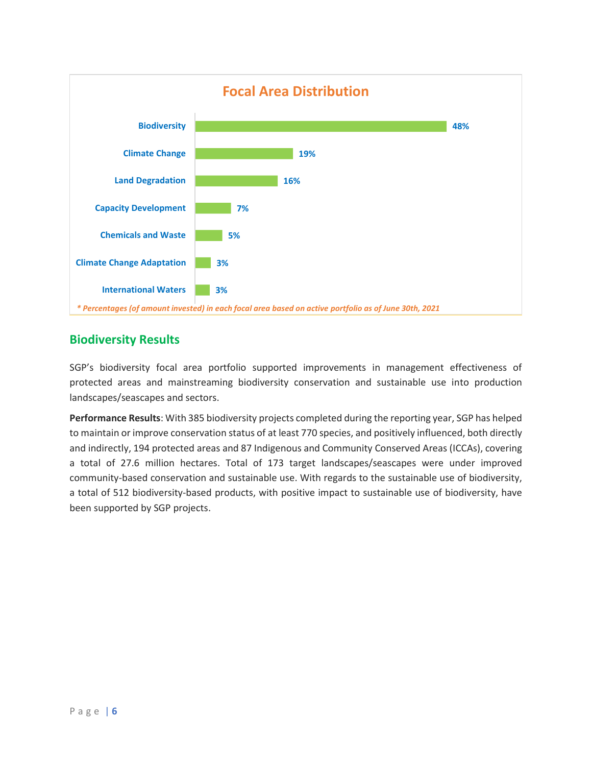

# **Biodiversity Results**

SGP's biodiversity focal area portfolio supported improvements in management effectiveness of protected areas and mainstreaming biodiversity conservation and sustainable use into production landscapes/seascapes and sectors.

**Performance Results**: With 385 biodiversity projects completed during the reporting year, SGP has helped to maintain or improve conservation status of at least 770 species, and positively influenced, both directly and indirectly, 194 protected areas and 87 Indigenous and Community Conserved Areas (ICCAs), covering a total of 27.6 million hectares. Total of 173 target landscapes/seascapes were under improved community-based conservation and sustainable use. With regards to the sustainable use of biodiversity, a total of 512 biodiversity-based products, with positive impact to sustainable use of biodiversity, have been supported by SGP projects.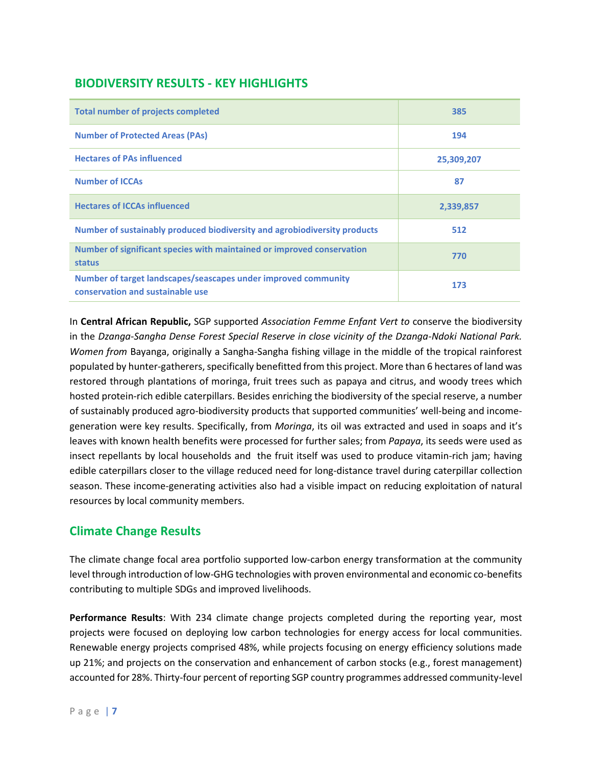# **BIODIVERSITY RESULTS - KEY HIGHLIGHTS**

| <b>Total number of projects completed</b>                                                          | 385        |
|----------------------------------------------------------------------------------------------------|------------|
| <b>Number of Protected Areas (PAs)</b>                                                             | 194        |
| <b>Hectares of PAs influenced</b>                                                                  | 25,309,207 |
| <b>Number of ICCAs</b>                                                                             | 87         |
| <b>Hectares of ICCAs influenced</b>                                                                | 2,339,857  |
| Number of sustainably produced biodiversity and agrobiodiversity products                          | 512        |
| Number of significant species with maintained or improved conservation<br>status                   | 770        |
| Number of target landscapes/seascapes under improved community<br>conservation and sustainable use | 173        |

In **Central African Republic,** SGP supported *Association Femme Enfant Vert to* conserve the biodiversity in the *Dzanga-Sangha Dense Forest Special Reserve in close vicinity of the Dzanga-Ndoki National Park. Women from* Bayanga, originally a Sangha-Sangha fishing village in the middle of the tropical rainforest populated by hunter-gatherers, specifically benefitted from this project. More than 6 hectares of land was restored through plantations of moringa, fruit trees such as papaya and citrus, and woody trees which hosted protein-rich edible caterpillars. Besides enriching the biodiversity of the special reserve, a number of sustainably produced agro-biodiversity products that supported communities' well-being and incomegeneration were key results. Specifically, from *Moringa*, its oil was extracted and used in soaps and it's leaves with known health benefits were processed for further sales; from *Papaya*, its seeds were used as insect repellants by local households and the fruit itself was used to produce vitamin-rich jam; having edible caterpillars closer to the village reduced need for long-distance travel during caterpillar collection season. These income-generating activities also had a visible impact on reducing exploitation of natural resources by local community members.

# **Climate Change Results**

The climate change focal area portfolio supported low-carbon energy transformation at the community level through introduction of low-GHG technologies with proven environmental and economic co-benefits contributing to multiple SDGs and improved livelihoods.

**Performance Results**: With 234 climate change projects completed during the reporting year, most projects were focused on deploying low carbon technologies for energy access for local communities. Renewable energy projects comprised 48%, while projects focusing on energy efficiency solutions made up 21%; and projects on the conservation and enhancement of carbon stocks (e.g., forest management) accounted for 28%. Thirty-four percent of reporting SGP country programmes addressed community-level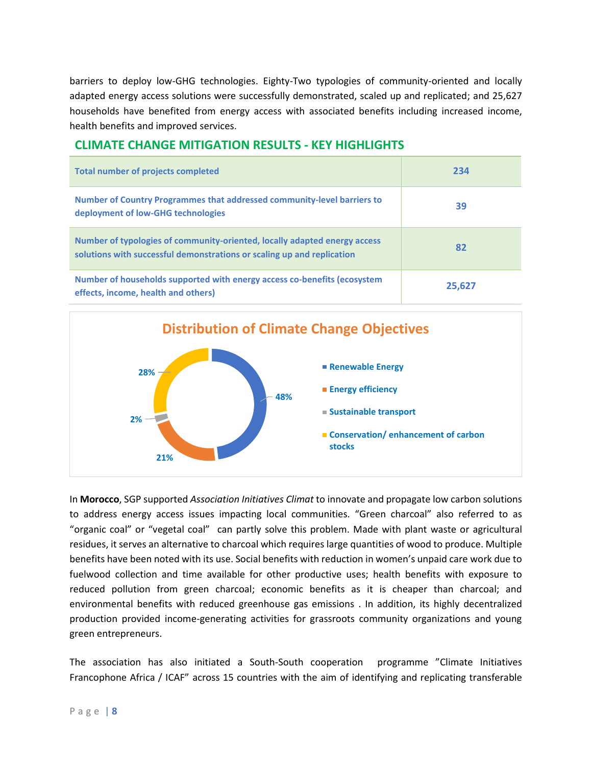barriers to deploy low-GHG technologies. Eighty-Two typologies of community-oriented and locally adapted energy access solutions were successfully demonstrated, scaled up and replicated; and 25,627 households have benefited from energy access with associated benefits including increased income, health benefits and improved services.

### **CLIMATE CHANGE MITIGATION RESULTS - KEY HIGHLIGHTS**

| <b>Total number of projects completed</b>                                                                                                           | 234    |
|-----------------------------------------------------------------------------------------------------------------------------------------------------|--------|
| Number of Country Programmes that addressed community-level barriers to<br>deployment of low-GHG technologies                                       | 39     |
| Number of typologies of community-oriented, locally adapted energy access<br>solutions with successful demonstrations or scaling up and replication | 82     |
| Number of households supported with energy access co-benefits (ecosystem<br>effects, income, health and others)                                     | 25,627 |



In **Morocco**, SGP supported *Association Initiatives Climat* to innovate and propagate low carbon solutions to address energy access issues impacting local communities. "Green charcoal" also referred to as "organic coalˮ or "vegetal coal" can partly solve this problem. Made with plant waste or agricultural residues, it serves an alternative to charcoal which requires large quantities of wood to produce. Multiple benefits have been noted with its use. Social benefits with reduction in women's unpaid care work due to fuelwood collection and time available for other productive uses; health benefits with exposure to reduced pollution from green charcoal; economic benefits as it is cheaper than charcoal; and environmental benefits with reduced greenhouse gas emissions . In addition, its highly decentralized production provided income-generating activities for grassroots community organizations and young green entrepreneurs.

The association has also initiated a South-South cooperation programme ˮClimate Initiatives Francophone Africa / ICAF" across 15 countries with the aim of identifying and replicating transferable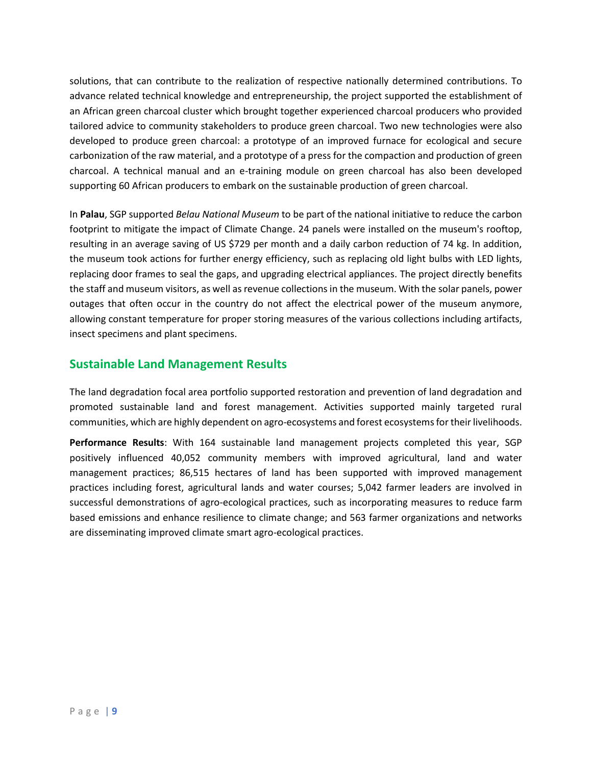solutions, that can contribute to the realization of respective nationally determined contributions. To advance related technical knowledge and entrepreneurship, the project supported the establishment of an African green charcoal cluster which brought together experienced charcoal producers who provided tailored advice to community stakeholders to produce green charcoal. Two new technologies were also developed to produce green charcoal: a prototype of an improved furnace for ecological and secure carbonization of the raw material, and a prototype of a press for the compaction and production of green charcoal. A technical manual and an e-training module on green charcoal has also been developed supporting 60 African producers to embark on the sustainable production of green charcoal.

In **Palau**, SGP supported *Belau National Museum* to be part of the national initiative to reduce the carbon footprint to mitigate the impact of Climate Change. 24 panels were installed on the museum's rooftop, resulting in an average saving of US \$729 per month and a daily carbon reduction of 74 kg. In addition, the museum took actions for further energy efficiency, such as replacing old light bulbs with LED lights, replacing door frames to seal the gaps, and upgrading electrical appliances. The project directly benefits the staff and museum visitors, as well as revenue collections in the museum. With the solar panels, power outages that often occur in the country do not affect the electrical power of the museum anymore, allowing constant temperature for proper storing measures of the various collections including artifacts, insect specimens and plant specimens.

### **Sustainable Land Management Results**

The land degradation focal area portfolio supported restoration and prevention of land degradation and promoted sustainable land and forest management. Activities supported mainly targeted rural communities, which are highly dependent on agro-ecosystems and forest ecosystems for their livelihoods.

**Performance Results**: With 164 sustainable land management projects completed this year, SGP positively influenced 40,052 community members with improved agricultural, land and water management practices; 86,515 hectares of land has been supported with improved management practices including forest, agricultural lands and water courses; 5,042 farmer leaders are involved in successful demonstrations of agro-ecological practices, such as incorporating measures to reduce farm based emissions and enhance resilience to climate change; and 563 farmer organizations and networks are disseminating improved climate smart agro-ecological practices.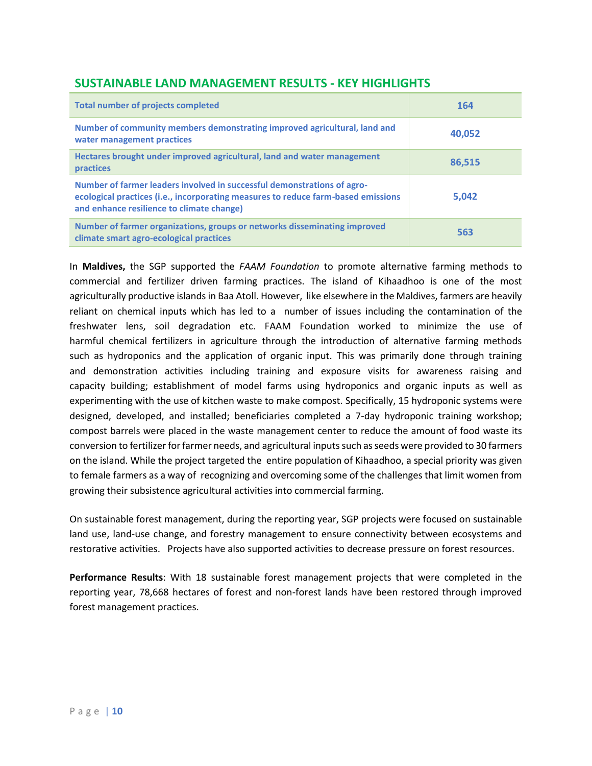| <b>Total number of projects completed</b>                                                                                                                                                                 | 164    |
|-----------------------------------------------------------------------------------------------------------------------------------------------------------------------------------------------------------|--------|
| Number of community members demonstrating improved agricultural, land and<br>water management practices                                                                                                   | 40,052 |
| Hectares brought under improved agricultural, land and water management<br>practices                                                                                                                      | 86,515 |
| Number of farmer leaders involved in successful demonstrations of agro-<br>ecological practices (i.e., incorporating measures to reduce farm-based emissions<br>and enhance resilience to climate change) | 5,042  |
| Number of farmer organizations, groups or networks disseminating improved<br>climate smart agro-ecological practices                                                                                      | 563    |

### **SUSTAINABLE LAND MANAGEMENT RESULTS - KEY HIGHLIGHTS**

In **Maldives,** the SGP supported the *FAAM Foundation* to promote alternative farming methods to commercial and fertilizer driven farming practices. The island of Kihaadhoo is one of the most agriculturally productive islands in Baa Atoll. However, like elsewhere in the Maldives, farmers are heavily reliant on chemical inputs which has led to a number of issues including the contamination of the freshwater lens, soil degradation etc. FAAM Foundation worked to minimize the use of harmful chemical fertilizers in agriculture through the introduction of alternative farming methods such as hydroponics and the application of organic input. This was primarily done through training and demonstration activities including training and exposure visits for awareness raising and capacity building; establishment of model farms using hydroponics and organic inputs as well as experimenting with the use of kitchen waste to make compost. Specifically, 15 hydroponic systems were designed, developed, and installed; beneficiaries completed a 7-day hydroponic training workshop; compost barrels were placed in the waste management center to reduce the amount of food waste its conversion to fertilizer for farmer needs, and agricultural inputs such as seeds were provided to 30 farmers on the island. While the project targeted the entire population of Kihaadhoo, a special priority was given to female farmers as a way of recognizing and overcoming some of the challenges that limit women from growing their subsistence agricultural activities into commercial farming.

On sustainable forest management, during the reporting year, SGP projects were focused on sustainable land use, land-use change, and forestry management to ensure connectivity between ecosystems and restorative activities. Projects have also supported activities to decrease pressure on forest resources.

**Performance Results**: With 18 sustainable forest management projects that were completed in the reporting year, 78,668 hectares of forest and non-forest lands have been restored through improved forest management practices.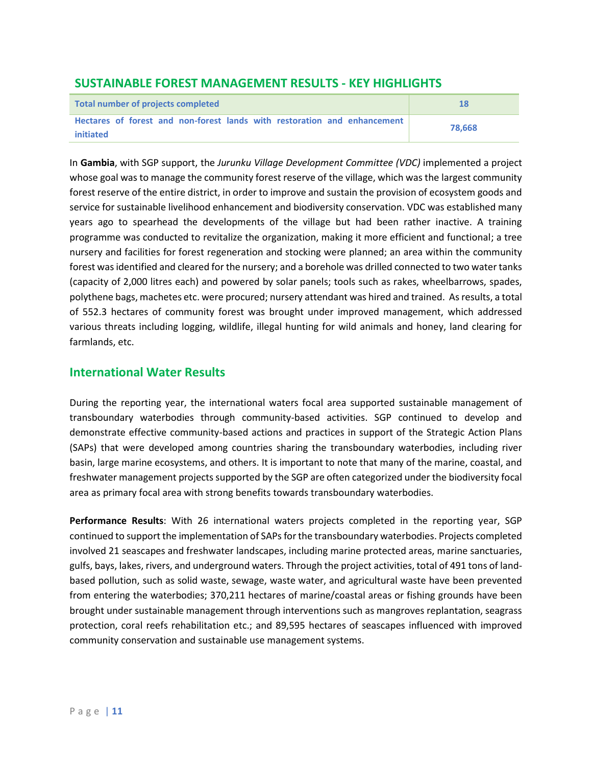### **SUSTAINABLE FOREST MANAGEMENT RESULTS - KEY HIGHLIGHTS**

| Total number of projects completed                                                    | 18     |
|---------------------------------------------------------------------------------------|--------|
| Hectares of forest and non-forest lands with restoration and enhancement<br>initiated | 78.668 |

In **Gambia**, with SGP support, the *Jurunku Village Development Committee (VDC)* implemented a project whose goal was to manage the community forest reserve of the village, which was the largest community forest reserve of the entire district, in order to improve and sustain the provision of ecosystem goods and service for sustainable livelihood enhancement and biodiversity conservation. VDC was established many years ago to spearhead the developments of the village but had been rather inactive. A training programme was conducted to revitalize the organization, making it more efficient and functional; a tree nursery and facilities for forest regeneration and stocking were planned; an area within the community forest was identified and cleared for the nursery; and a borehole was drilled connected to two water tanks (capacity of 2,000 litres each) and powered by solar panels; tools such as rakes, wheelbarrows, spades, polythene bags, machetes etc. were procured; nursery attendant was hired and trained. As results, a total of 552.3 hectares of community forest was brought under improved management, which addressed various threats including logging, wildlife, illegal hunting for wild animals and honey, land clearing for farmlands, etc.

### **International Water Results**

During the reporting year, the international waters focal area supported sustainable management of transboundary waterbodies through community-based activities. SGP continued to develop and demonstrate effective community-based actions and practices in support of the Strategic Action Plans (SAPs) that were developed among countries sharing the transboundary waterbodies, including river basin, large marine ecosystems, and others. It is important to note that many of the marine, coastal, and freshwater management projects supported by the SGP are often categorized under the biodiversity focal area as primary focal area with strong benefits towards transboundary waterbodies.

**Performance Results**: With 26 international waters projects completed in the reporting year, SGP continued to support the implementation of SAPs for the transboundary waterbodies. Projects completed involved 21 seascapes and freshwater landscapes, including marine protected areas, marine sanctuaries, gulfs, bays, lakes, rivers, and underground waters. Through the project activities, total of 491 tons of landbased pollution, such as solid waste, sewage, waste water, and agricultural waste have been prevented from entering the waterbodies; 370,211 hectares of marine/coastal areas or fishing grounds have been brought under sustainable management through interventions such as mangroves replantation, seagrass protection, coral reefs rehabilitation etc.; and 89,595 hectares of seascapes influenced with improved community conservation and sustainable use management systems.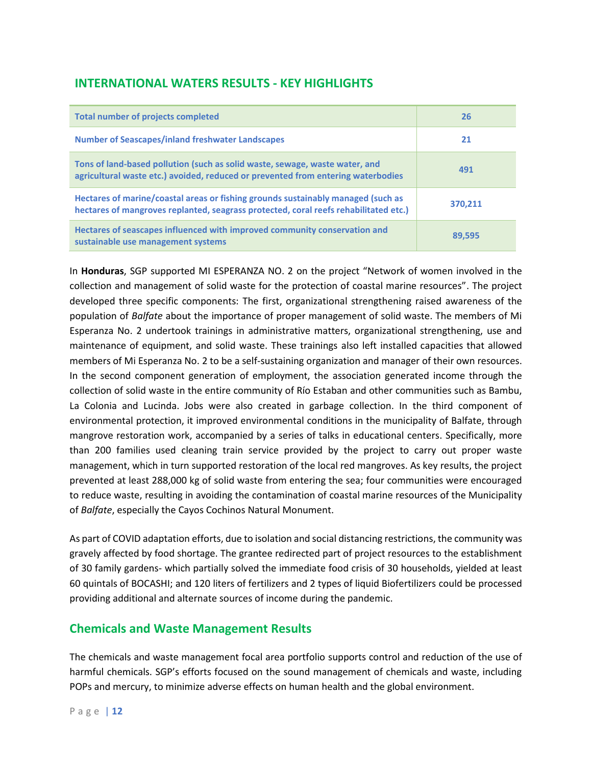# **INTERNATIONAL WATERS RESULTS - KEY HIGHLIGHTS**

| <b>Total number of projects completed</b>                                                                                                                                | 26      |
|--------------------------------------------------------------------------------------------------------------------------------------------------------------------------|---------|
| <b>Number of Seascapes/inland freshwater Landscapes</b>                                                                                                                  | 21      |
| Tons of land-based pollution (such as solid waste, sewage, waste water, and<br>agricultural waste etc.) avoided, reduced or prevented from entering waterbodies          | 491     |
| Hectares of marine/coastal areas or fishing grounds sustainably managed (such as<br>hectares of mangroves replanted, seagrass protected, coral reefs rehabilitated etc.) | 370.211 |
| Hectares of seascapes influenced with improved community conservation and<br>sustainable use management systems                                                          | 89.595  |

In **Honduras**, SGP supported MI ESPERANZA NO. 2 on the project "Network of women involved in the collection and management of solid waste for the protection of coastal marine resources". The project developed three specific components: The first, organizational strengthening raised awareness of the population of *Balfate* about the importance of proper management of solid waste. The members of Mi Esperanza No. 2 undertook trainings in administrative matters, organizational strengthening, use and maintenance of equipment, and solid waste. These trainings also left installed capacities that allowed members of Mi Esperanza No. 2 to be a self-sustaining organization and manager of their own resources. In the second component generation of employment, the association generated income through the collection of solid waste in the entire community of Río Estaban and other communities such as Bambu, La Colonia and Lucinda. Jobs were also created in garbage collection. In the third component of environmental protection, it improved environmental conditions in the municipality of Balfate, through mangrove restoration work, accompanied by a series of talks in educational centers. Specifically, more than 200 families used cleaning train service provided by the project to carry out proper waste management, which in turn supported restoration of the local red mangroves. As key results, the project prevented at least 288,000 kg of solid waste from entering the sea; four communities were encouraged to reduce waste, resulting in avoiding the contamination of coastal marine resources of the Municipality of *Balfate*, especially the Cayos Cochinos Natural Monument.

As part of COVID adaptation efforts, due to isolation and social distancing restrictions, the community was gravely affected by food shortage. The grantee redirected part of project resources to the establishment of 30 family gardens- which partially solved the immediate food crisis of 30 households, yielded at least 60 quintals of BOCASHI; and 120 liters of fertilizers and 2 types of liquid Biofertilizers could be processed providing additional and alternate sources of income during the pandemic.

### **Chemicals and Waste Management Results**

The chemicals and waste management focal area portfolio supports control and reduction of the use of harmful chemicals. SGP's efforts focused on the sound management of chemicals and waste, including POPs and mercury, to minimize adverse effects on human health and the global environment.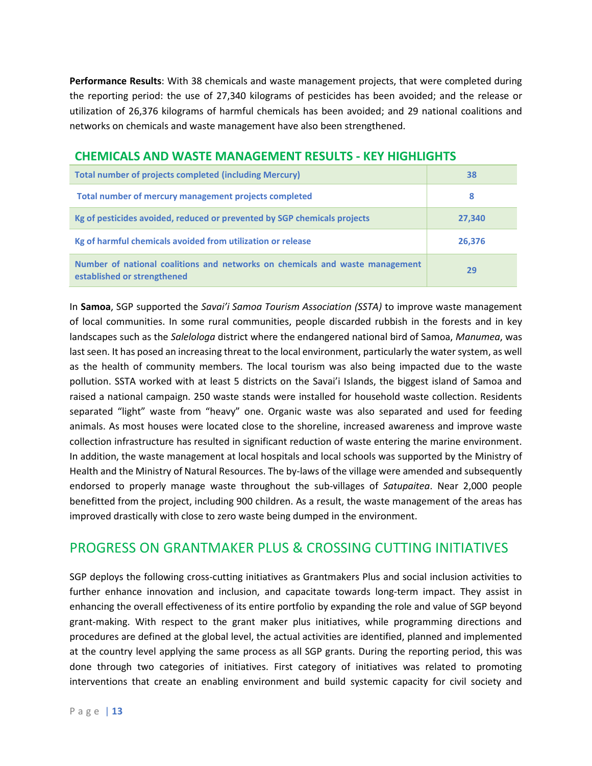**Performance Results**: With 38 chemicals and waste management projects, that were completed during the reporting period: the use of 27,340 kilograms of pesticides has been avoided; and the release or utilization of 26,376 kilograms of harmful chemicals has been avoided; and 29 national coalitions and networks on chemicals and waste management have also been strengthened.

### **CHEMICALS AND WASTE MANAGEMENT RESULTS - KEY HIGHLIGHTS**

| <b>Total number of projects completed (including Mercury)</b>                                               | 38     |
|-------------------------------------------------------------------------------------------------------------|--------|
| Total number of mercury management projects completed                                                       | 8      |
| Kg of pesticides avoided, reduced or prevented by SGP chemicals projects                                    | 27,340 |
| Kg of harmful chemicals avoided from utilization or release                                                 | 26,376 |
| Number of national coalitions and networks on chemicals and waste management<br>established or strengthened | 29     |

In **Samoa**, SGP supported the *Savai'i Samoa Tourism Association (SSTA)* to improve waste management of local communities. In some rural communities, people discarded rubbish in the forests and in key landscapes such as the *Salelologa* district where the endangered national bird of Samoa, *Manumea*, was last seen. It has posed an increasing threat to the local environment, particularly the water system, as well as the health of community members. The local tourism was also being impacted due to the waste pollution. SSTA worked with at least 5 districts on the Savai'i Islands, the biggest island of Samoa and raised a national campaign. 250 waste stands were installed for household waste collection. Residents separated "light" waste from "heavy" one. Organic waste was also separated and used for feeding animals. As most houses were located close to the shoreline, increased awareness and improve waste collection infrastructure has resulted in significant reduction of waste entering the marine environment. In addition, the waste management at local hospitals and local schools was supported by the Ministry of Health and the Ministry of Natural Resources. The by-laws of the village were amended and subsequently endorsed to properly manage waste throughout the sub-villages of *Satupaitea*. Near 2,000 people benefitted from the project, including 900 children. As a result, the waste management of the areas has improved drastically with close to zero waste being dumped in the environment.

# PROGRESS ON GRANTMAKER PLUS & CROSSING CUTTING INITIATIVES

SGP deploys the following cross-cutting initiatives as Grantmakers Plus and social inclusion activities to further enhance innovation and inclusion, and capacitate towards long-term impact. They assist in enhancing the overall effectiveness of its entire portfolio by expanding the role and value of SGP beyond grant-making. With respect to the grant maker plus initiatives, while programming directions and procedures are defined at the global level, the actual activities are identified, planned and implemented at the country level applying the same process as all SGP grants. During the reporting period, this was done through two categories of initiatives. First category of initiatives was related to promoting interventions that create an enabling environment and build systemic capacity for civil society and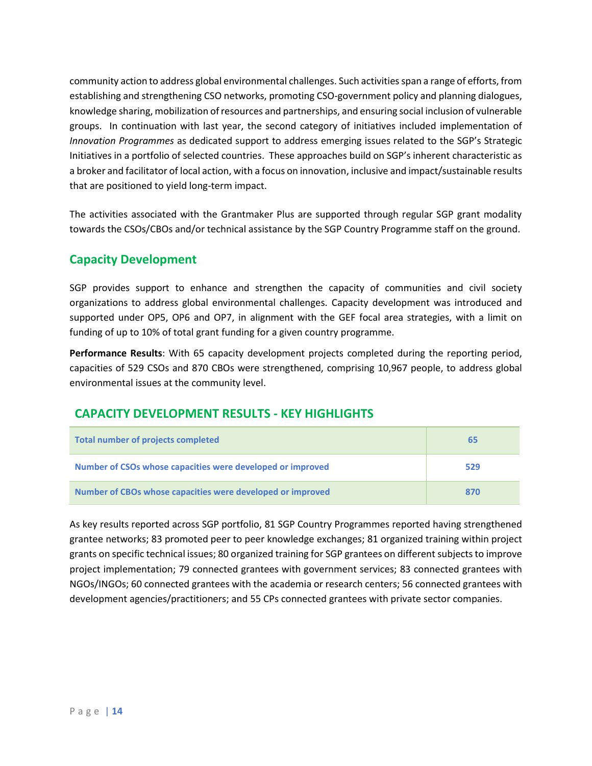community action to address global environmental challenges. Such activities span a range of efforts, from establishing and strengthening CSO networks, promoting CSO-government policy and planning dialogues, knowledge sharing, mobilization of resources and partnerships, and ensuring social inclusion of vulnerable groups. In continuation with last year, the second category of initiatives included implementation of *Innovation Programmes* as dedicated support to address emerging issues related to the SGP's Strategic Initiatives in a portfolio of selected countries. These approaches build on SGP's inherent characteristic as a broker and facilitator of local action, with a focus on innovation, inclusive and impact/sustainable results that are positioned to yield long-term impact.

The activities associated with the Grantmaker Plus are supported through regular SGP grant modality towards the CSOs/CBOs and/or technical assistance by the SGP Country Programme staff on the ground.

# **Capacity Development**

SGP provides support to enhance and strengthen the capacity of communities and civil society organizations to address global environmental challenges. Capacity development was introduced and supported under OP5, OP6 and OP7, in alignment with the GEF focal area strategies, with a limit on funding of up to 10% of total grant funding for a given country programme.

**Performance Results**: With 65 capacity development projects completed during the reporting period, capacities of 529 CSOs and 870 CBOs were strengthened, comprising 10,967 people, to address global environmental issues at the community level.

### **CAPACITY DEVELOPMENT RESULTS - KEY HIGHLIGHTS**

| <b>Total number of projects completed</b>                  | 65  |
|------------------------------------------------------------|-----|
| Number of CSOs whose capacities were developed or improved | 529 |
| Number of CBOs whose capacities were developed or improved | 870 |

As key results reported across SGP portfolio, 81 SGP Country Programmes reported having strengthened grantee networks; 83 promoted peer to peer knowledge exchanges; 81 organized training within project grants on specific technical issues; 80 organized training for SGP grantees on different subjects to improve project implementation; 79 connected grantees with government services; 83 connected grantees with NGOs/INGOs; 60 connected grantees with the academia or research centers; 56 connected grantees with development agencies/practitioners; and 55 CPs connected grantees with private sector companies.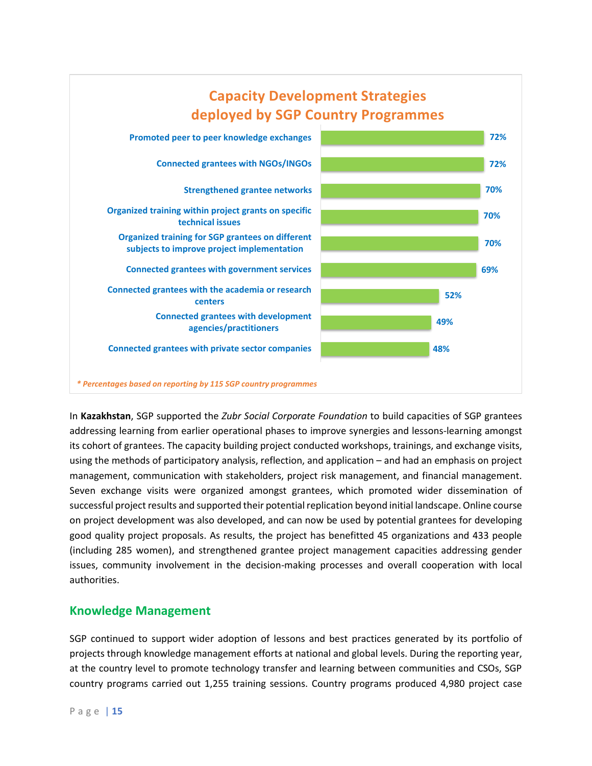

In **Kazakhstan**, SGP supported the *Zubr Social Corporate Foundation* to build capacities of SGP grantees addressing learning from earlier operational phases to improve synergies and lessons-learning amongst its cohort of grantees. The capacity building project conducted workshops, trainings, and exchange visits, using the methods of participatory analysis, reflection, and application – and had an emphasis on project management, communication with stakeholders, project risk management, and financial management. Seven exchange visits were organized amongst grantees, which promoted wider dissemination of successful project results and supported their potential replication beyond initial landscape. Online course on project development was also developed, and can now be used by potential grantees for developing good quality project proposals. As results, the project has benefitted 45 organizations and 433 people (including 285 women), and strengthened grantee project management capacities addressing gender issues, community involvement in the decision-making processes and overall cooperation with local authorities.

### **Knowledge Management**

SGP continued to support wider adoption of lessons and best practices generated by its portfolio of projects through knowledge management efforts at national and global levels. During the reporting year, at the country level to promote technology transfer and learning between communities and CSOs, SGP country programs carried out 1,255 training sessions. Country programs produced 4,980 project case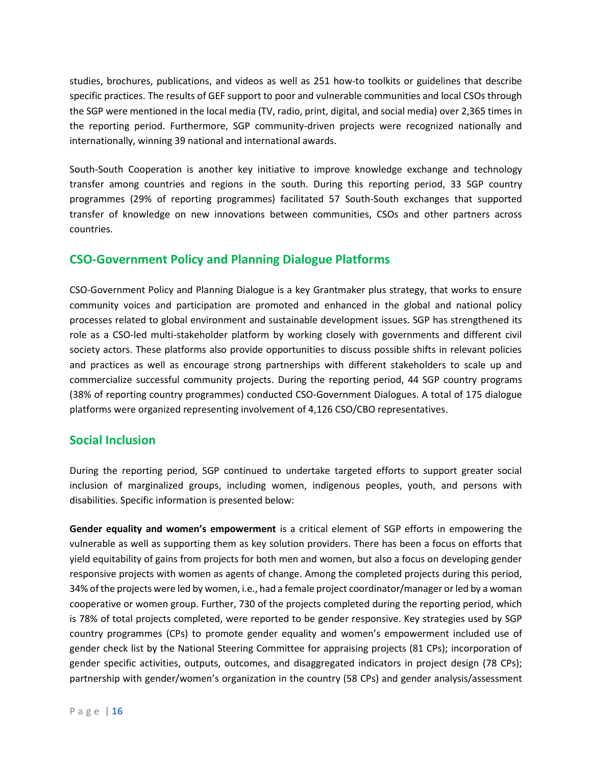studies, brochures, publications, and videos as well as 251 how-to toolkits or guidelines that describe specific practices. The results of GEF support to poor and vulnerable communities and local CSOs through the SGP were mentioned in the local media (TV, radio, print, digital, and social media) over 2,365 times in the reporting period. Furthermore, SGP community-driven projects were recognized nationally and internationally, winning 39 national and international awards.

South-South Cooperation is another key initiative to improve knowledge exchange and technology transfer among countries and regions in the south. During this reporting period, 33 SGP country programmes (29% of reporting programmes) facilitated 57 South-South exchanges that supported transfer of knowledge on new innovations between communities, CSOs and other partners across countries.

### **CSO-Government Policy and Planning Dialogue Platforms**

CSO-Government Policy and Planning Dialogue is a key Grantmaker plus strategy, that works to ensure community voices and participation are promoted and enhanced in the global and national policy processes related to global environment and sustainable development issues. SGP has strengthened its role as a CSO-led multi-stakeholder platform by working closely with governments and different civil society actors. These platforms also provide opportunities to discuss possible shifts in relevant policies and practices as well as encourage strong partnerships with different stakeholders to scale up and commercialize successful community projects. During the reporting period, 44 SGP country programs (38% of reporting country programmes) conducted CSO-Government Dialogues. A total of 175 dialogue platforms were organized representing involvement of 4,126 CSO/CBO representatives.

### **Social Inclusion**

During the reporting period, SGP continued to undertake targeted efforts to support greater social inclusion of marginalized groups, including women, indigenous peoples, youth, and persons with disabilities. Specific information is presented below:

**Gender equality and women's empowerment** is a critical element of SGP efforts in empowering the vulnerable as well as supporting them as key solution providers. There has been a focus on efforts that yield equitability of gains from projects for both men and women, but also a focus on developing gender responsive projects with women as agents of change. Among the completed projects during this period, 34% of the projects were led by women, i.e., had a female project coordinator/manager or led by a woman cooperative or women group. Further, 730 of the projects completed during the reporting period, which is 78% of total projects completed, were reported to be gender responsive. Key strategies used by SGP country programmes (CPs) to promote gender equality and women's empowerment included use of gender check list by the National Steering Committee for appraising projects (81 CPs); incorporation of gender specific activities, outputs, outcomes, and disaggregated indicators in project design (78 CPs); partnership with gender/women's organization in the country (58 CPs) and gender analysis/assessment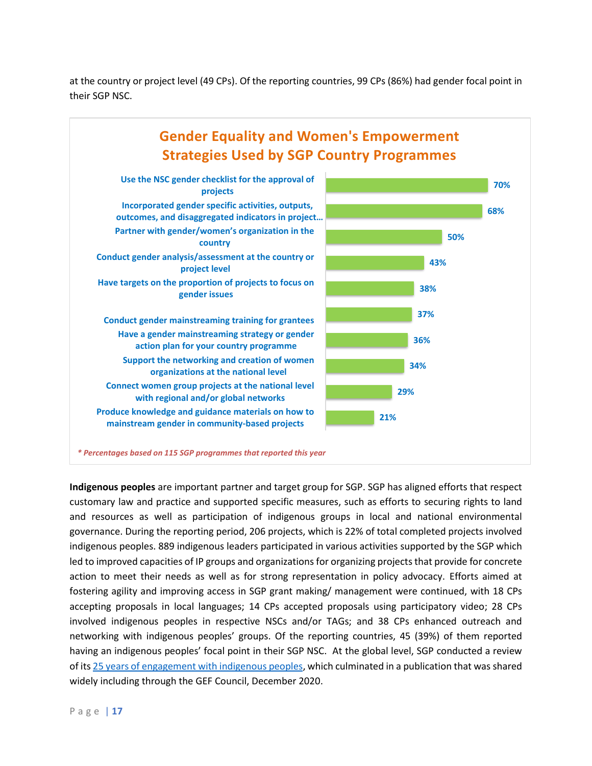at the country or project level (49 CPs). Of the reporting countries, 99 CPs (86%) had gender focal point in their SGP NSC.



*\* Percentages based on 115 SGP programmes that reported this year*

**Indigenous peoples** are important partner and target group for SGP. SGP has aligned efforts that respect customary law and practice and supported specific measures, such as efforts to securing rights to land and resources as well as participation of indigenous groups in local and national environmental governance. During the reporting period, 206 projects, which is 22% of total completed projects involved indigenous peoples. 889 indigenous leaders participated in various activities supported by the SGP which led to improved capacities of IP groups and organizations for organizing projects that provide for concrete action to meet their needs as well as for strong representation in policy advocacy. Efforts aimed at fostering agility and improving access in SGP grant making/ management were continued, with 18 CPs accepting proposals in local languages; 14 CPs accepted proposals using participatory video; 28 CPs involved indigenous peoples in respective NSCs and/or TAGs; and 38 CPs enhanced outreach and networking with indigenous peoples' groups. Of the reporting countries, 45 (39%) of them reported having an indigenous peoples' focal point in their SGP NSC. At the global level, SGP conducted a review of its [25 years of engagement with indigenous peoples,](https://www.thegef.org/sites/default/files/publications/SGP_25_Years_Engagement_Indigenous_Peoples_2020.pdf) which culminated in a publication that was shared widely including through the GEF Council, December 2020.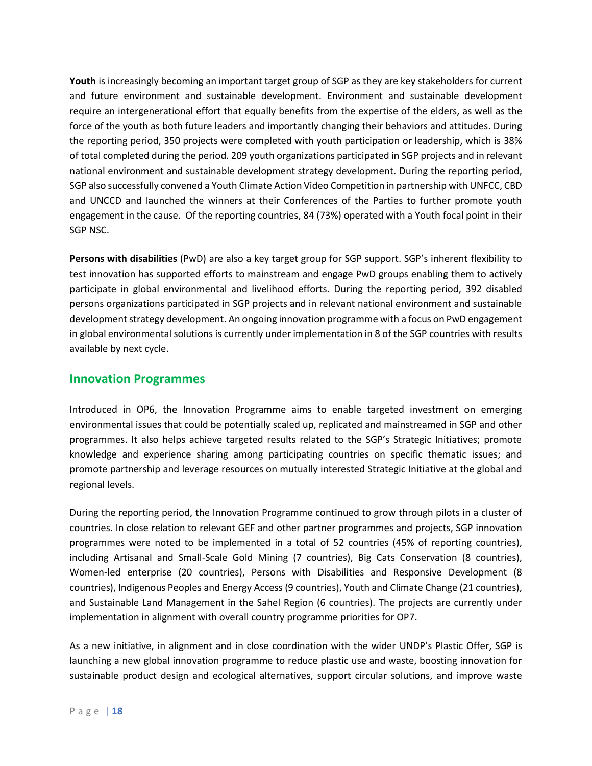**Youth** is increasingly becoming an important target group of SGP as they are key stakeholders for current and future environment and sustainable development. Environment and sustainable development require an intergenerational effort that equally benefits from the expertise of the elders, as well as the force of the youth as both future leaders and importantly changing their behaviors and attitudes. During the reporting period, 350 projects were completed with youth participation or leadership, which is 38% of total completed during the period. 209 youth organizations participated in SGP projects and in relevant national environment and sustainable development strategy development. During the reporting period, SGP also successfully convened a Youth Climate Action Video Competition in partnership with UNFCC, CBD and UNCCD and launched the winners at their Conferences of the Parties to further promote youth engagement in the cause. Of the reporting countries, 84 (73%) operated with a Youth focal point in their SGP NSC.

**Persons with disabilities** (PwD) are also a key target group for SGP support. SGP's inherent flexibility to test innovation has supported efforts to mainstream and engage PwD groups enabling them to actively participate in global environmental and livelihood efforts. During the reporting period, 392 disabled persons organizations participated in SGP projects and in relevant national environment and sustainable development strategy development. An ongoing innovation programme with a focus on PwD engagement in global environmental solutions is currently under implementation in 8 of the SGP countries with results available by next cycle.

### **Innovation Programmes**

Introduced in OP6, the Innovation Programme aims to enable targeted investment on emerging environmental issues that could be potentially scaled up, replicated and mainstreamed in SGP and other programmes. It also helps achieve targeted results related to the SGP's Strategic Initiatives; promote knowledge and experience sharing among participating countries on specific thematic issues; and promote partnership and leverage resources on mutually interested Strategic Initiative at the global and regional levels.

During the reporting period, the Innovation Programme continued to grow through pilots in a cluster of countries. In close relation to relevant GEF and other partner programmes and projects, SGP innovation programmes were noted to be implemented in a total of 52 countries (45% of reporting countries), including Artisanal and Small-Scale Gold Mining (7 countries), Big Cats Conservation (8 countries), Women-led enterprise (20 countries), Persons with Disabilities and Responsive Development (8 countries), Indigenous Peoples and Energy Access (9 countries), Youth and Climate Change (21 countries), and Sustainable Land Management in the Sahel Region (6 countries). The projects are currently under implementation in alignment with overall country programme priorities for OP7.

As a new initiative, in alignment and in close coordination with the wider UNDP's Plastic Offer, SGP is launching a new global innovation programme to reduce plastic use and waste, boosting innovation for sustainable product design and ecological alternatives, support circular solutions, and improve waste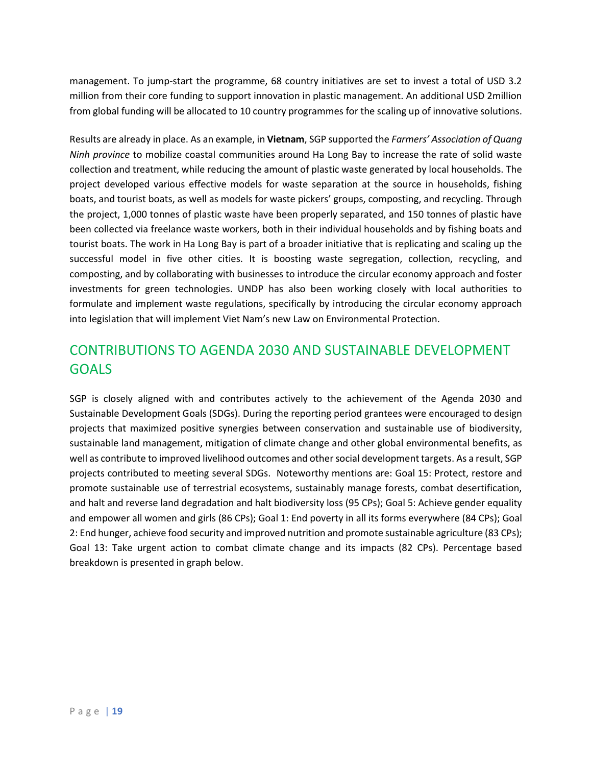management. To jump-start the programme, 68 country initiatives are set to invest a total of USD 3.2 million from their core funding to support innovation in plastic management. An additional USD 2million from global funding will be allocated to 10 country programmes for the scaling up of innovative solutions.

Results are already in place. As an example, in **Vietnam**, SGP supported the *Farmers' Association of Quang Ninh province* to mobilize coastal communities around Ha Long Bay to increase the rate of solid waste collection and treatment, while reducing the amount of plastic waste generated by local households. The project developed various effective models for waste separation at the source in households, fishing boats, and tourist boats, as well as models for waste pickers' groups, composting, and recycling. Through the project, 1,000 tonnes of plastic waste have been properly separated, and 150 tonnes of plastic have been collected via freelance waste workers, both in their individual households and by fishing boats and tourist boats. The work in Ha Long Bay is part of a broader initiative that is replicating and scaling up the successful model in five other cities. It is boosting waste segregation, collection, recycling, and composting, and by collaborating with businesses to introduce the circular economy approach and foster investments for green technologies. UNDP has also been working closely with local authorities to formulate and implement waste regulations, specifically by introducing the circular economy approach into legislation that will implement Viet Nam's new Law on Environmental Protection.

# CONTRIBUTIONS TO AGENDA 2030 AND SUSTAINABLE DEVELOPMENT **GOALS**

SGP is closely aligned with and contributes actively to the achievement of the Agenda 2030 and Sustainable Development Goals (SDGs). During the reporting period grantees were encouraged to design projects that maximized positive synergies between conservation and sustainable use of biodiversity, sustainable land management, mitigation of climate change and other global environmental benefits, as well as contribute to improved livelihood outcomes and other social development targets. As a result, SGP projects contributed to meeting several SDGs. Noteworthy mentions are: Goal 15: Protect, restore and promote sustainable use of terrestrial ecosystems, sustainably manage forests, combat desertification, and halt and reverse land degradation and halt biodiversity loss (95 CPs); Goal 5: Achieve gender equality and empower all women and girls (86 CPs); Goal 1: End poverty in all its forms everywhere (84 CPs); Goal 2: End hunger, achieve food security and improved nutrition and promote sustainable agriculture (83 CPs); Goal 13: Take urgent action to combat climate change and its impacts (82 CPs). Percentage based breakdown is presented in graph below.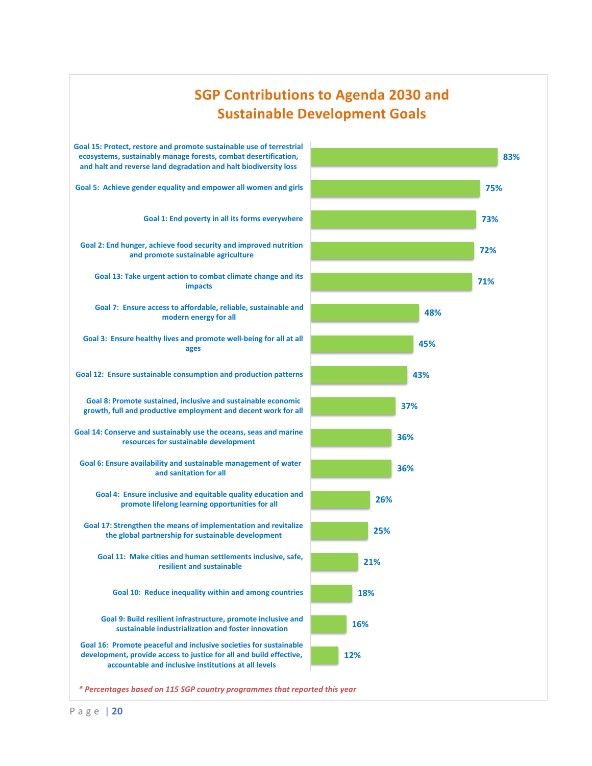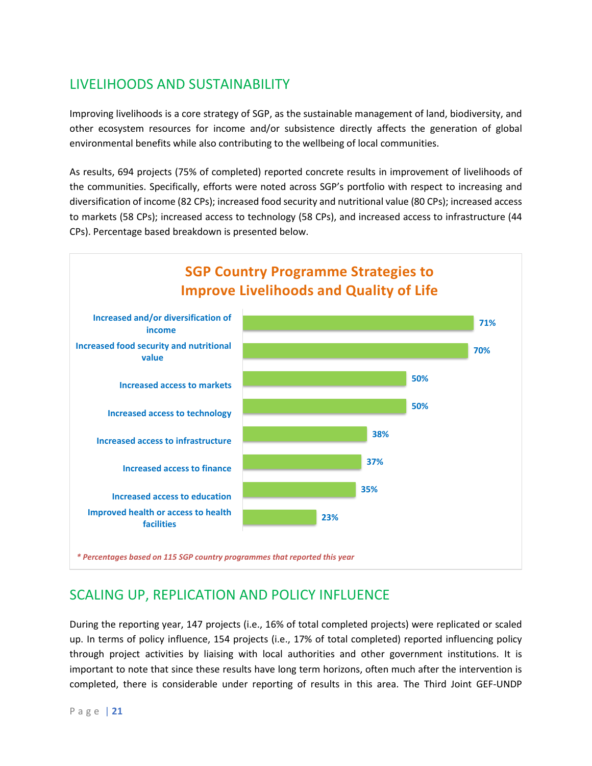# LIVELIHOODS AND SUSTAINABILITY

Improving livelihoods is a core strategy of SGP, as the sustainable management of land, biodiversity, and other ecosystem resources for income and/or subsistence directly affects the generation of global environmental benefits while also contributing to the wellbeing of local communities.

As results, 694 projects (75% of completed) reported concrete results in improvement of livelihoods of the communities. Specifically, efforts were noted across SGP's portfolio with respect to increasing and diversification of income (82 CPs); increased food security and nutritional value (80 CPs); increased access to markets (58 CPs); increased access to technology (58 CPs), and increased access to infrastructure (44 CPs). Percentage based breakdown is presented below.



# SCALING UP, REPLICATION AND POLICY INFLUENCE

During the reporting year, 147 projects (i.e., 16% of total completed projects) were replicated or scaled up. In terms of policy influence, 154 projects (i.e., 17% of total completed) reported influencing policy through project activities by liaising with local authorities and other government institutions. It is important to note that since these results have long term horizons, often much after the intervention is completed, there is considerable under reporting of results in this area. The Third Joint GEF-UNDP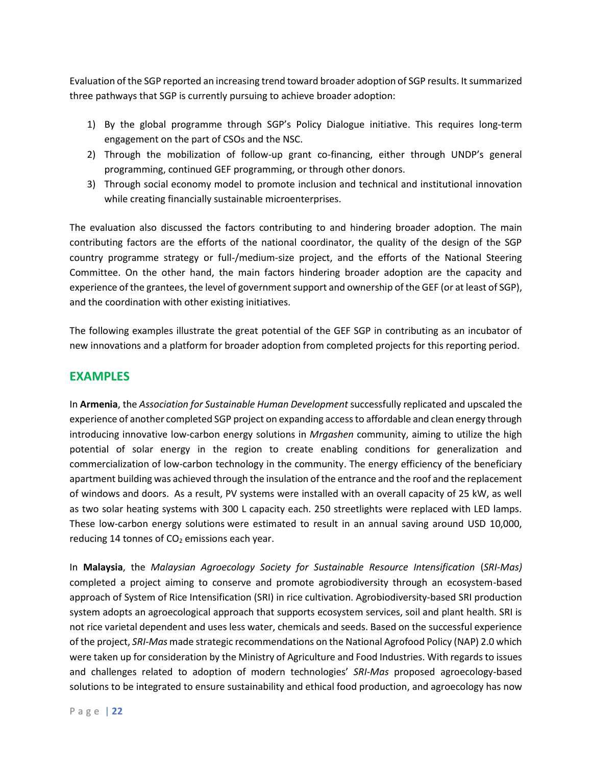Evaluation of the SGP reported an increasing trend toward broader adoption of SGP results. It summarized three pathways that SGP is currently pursuing to achieve broader adoption:

- 1) By the global programme through SGP's Policy Dialogue initiative. This requires long-term engagement on the part of CSOs and the NSC.
- 2) Through the mobilization of follow-up grant co-financing, either through UNDP's general programming, continued GEF programming, or through other donors.
- 3) Through social economy model to promote inclusion and technical and institutional innovation while creating financially sustainable microenterprises.

The evaluation also discussed the factors contributing to and hindering broader adoption. The main contributing factors are the efforts of the national coordinator, the quality of the design of the SGP country programme strategy or full-/medium-size project, and the efforts of the National Steering Committee. On the other hand, the main factors hindering broader adoption are the capacity and experience of the grantees, the level of government support and ownership of the GEF (or at least of SGP), and the coordination with other existing initiatives.

The following examples illustrate the great potential of the GEF SGP in contributing as an incubator of new innovations and a platform for broader adoption from completed projects for this reporting period.

### **EXAMPLES**

In **Armenia**, the *Association for Sustainable Human Development* successfully replicated and upscaled the experience of another completed SGP project on expanding access to affordable and clean energy through introducing innovative low-carbon energy solutions in *Mrgashen* community, aiming to utilize the high potential of solar energy in the region to create enabling conditions for generalization and commercialization of low-carbon technology in the community. The energy efficiency of the beneficiary apartment building was achieved through the insulation of the entrance and the roof and the replacement of windows and doors. As a result, PV systems were installed with an overall capacity of 25 kW, as well as two solar heating systems with 300 L capacity each. 250 streetlights were replaced with LED lamps. These low-carbon energy solutions were estimated to result in an annual saving around USD 10,000, reducing 14 tonnes of  $CO<sub>2</sub>$  emissions each year.

In **Malaysia**, the *Malaysian Agroecology Society for Sustainable Resource Intensification* (*SRI-Mas)* completed a project aiming to conserve and promote agrobiodiversity through an ecosystem-based approach of System of Rice Intensification (SRI) in rice cultivation. Agrobiodiversity-based SRI production system adopts an agroecological approach that supports ecosystem services, soil and plant health. SRI is not rice varietal dependent and uses less water, chemicals and seeds. Based on the successful experience of the project, *SRI-Mas* made strategic recommendations on the National Agrofood Policy (NAP) 2.0 which were taken up for consideration by the Ministry of Agriculture and Food Industries. With regards to issues and challenges related to adoption of modern technologies' *SRI-Mas* proposed agroecology-based solutions to be integrated to ensure sustainability and ethical food production, and agroecology has now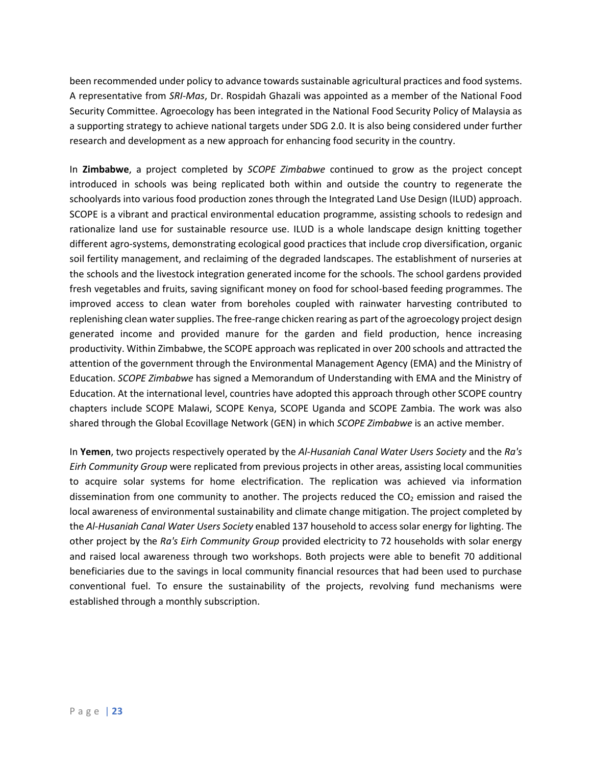been recommended under policy to advance towards sustainable agricultural practices and food systems. A representative from *SRI-Mas*, Dr. Rospidah Ghazali was appointed as a member of the National Food Security Committee. Agroecology has been integrated in the National Food Security Policy of Malaysia as a supporting strategy to achieve national targets under SDG 2.0. It is also being considered under further research and development as a new approach for enhancing food security in the country.

In **Zimbabwe**, a project completed by *SCOPE Zimbabwe* continued to grow as the project concept introduced in schools was being replicated both within and outside the country to regenerate the schoolyards into various food production zones through the Integrated Land Use Design (ILUD) approach. SCOPE is a vibrant and practical environmental education programme, assisting schools to redesign and rationalize land use for sustainable resource use. ILUD is a whole landscape design knitting together different agro-systems, demonstrating ecological good practices that include crop diversification, organic soil fertility management, and reclaiming of the degraded landscapes. The establishment of nurseries at the schools and the livestock integration generated income for the schools. The school gardens provided fresh vegetables and fruits, saving significant money on food for school-based feeding programmes. The improved access to clean water from boreholes coupled with rainwater harvesting contributed to replenishing clean water supplies. The free-range chicken rearing as part of the agroecology project design generated income and provided manure for the garden and field production, hence increasing productivity. Within Zimbabwe, the SCOPE approach was replicated in over 200 schools and attracted the attention of the government through the Environmental Management Agency (EMA) and the Ministry of Education. *SCOPE Zimbabwe* has signed a Memorandum of Understanding with EMA and the Ministry of Education. At the international level, countries have adopted this approach through other SCOPE country chapters include SCOPE Malawi, SCOPE Kenya, SCOPE Uganda and SCOPE Zambia. The work was also shared through the Global Ecovillage Network (GEN) in which *SCOPE Zimbabwe* is an active member.

In **Yemen**, two projects respectively operated by the *Al-Husaniah Canal Water Users Society* and the *Ra's Eirh Community Group* were replicated from previous projects in other areas, assisting local communities to acquire solar systems for home electrification. The replication was achieved via information dissemination from one community to another. The projects reduced the  $CO<sub>2</sub>$  emission and raised the local awareness of environmental sustainability and climate change mitigation. The project completed by the *Al-Husaniah Canal Water Users Society* enabled 137 household to access solar energy for lighting. The other project by the *Ra's Eirh Community Group* provided electricity to 72 households with solar energy and raised local awareness through two workshops. Both projects were able to benefit 70 additional beneficiaries due to the savings in local community financial resources that had been used to purchase conventional fuel. To ensure the sustainability of the projects, revolving fund mechanisms were established through a monthly subscription.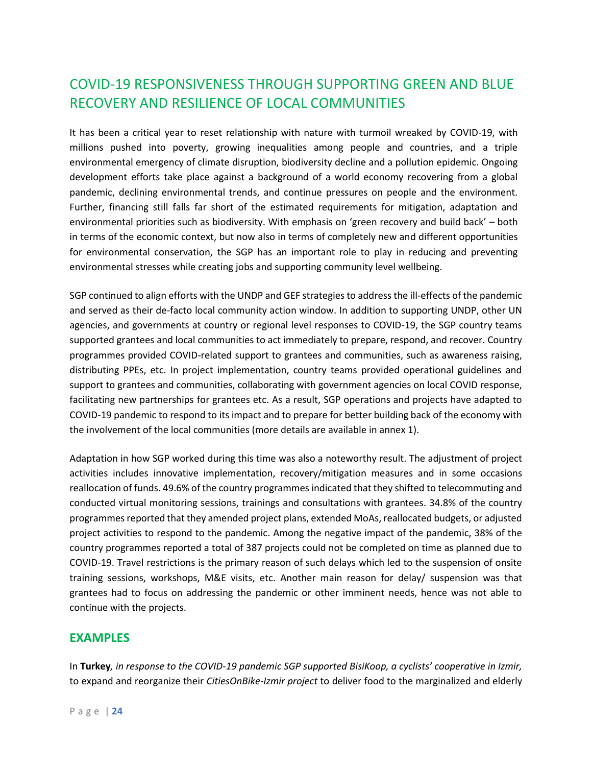# COVID-19 RESPONSIVENESS THROUGH SUPPORTING GREEN AND BLUE RECOVERY AND RESILIENCE OF LOCAL COMMUNITIES

It has been a critical year to reset relationship with nature with turmoil wreaked by COVID-19, with millions pushed into poverty, growing inequalities among people and countries, and a triple environmental emergency of climate disruption, biodiversity decline and a pollution epidemic. Ongoing development efforts take place against a background of a world economy recovering from a global pandemic, declining environmental trends, and continue pressures on people and the environment. Further, financing still falls far short of the estimated requirements for mitigation, adaptation and environmental priorities such as biodiversity. With emphasis on 'green recovery and build back' – both in terms of the economic context, but now also in terms of completely new and different opportunities for environmental conservation, the SGP has an important role to play in reducing and preventing environmental stresses while creating jobs and supporting community level wellbeing.

SGP continued to align efforts with the UNDP and GEF strategies to address the ill-effects of the pandemic and served as their de-facto local community action window. In addition to supporting UNDP, other UN agencies, and governments at country or regional level responses to COVID-19, the SGP country teams supported grantees and local communities to act immediately to prepare, respond, and recover. Country programmes provided COVID-related support to grantees and communities, such as awareness raising, distributing PPEs, etc. In project implementation, country teams provided operational guidelines and support to grantees and communities, collaborating with government agencies on local COVID response, facilitating new partnerships for grantees etc. As a result, SGP operations and projects have adapted to COVID-19 pandemic to respond to its impact and to prepare for better building back of the economy with the involvement of the local communities (more details are available in annex 1).

Adaptation in how SGP worked during this time was also a noteworthy result. The adjustment of project activities includes innovative implementation, recovery/mitigation measures and in some occasions reallocation of funds. 49.6% of the country programmes indicated that they shifted to telecommuting and conducted virtual monitoring sessions, trainings and consultations with grantees. 34.8% of the country programmes reported that they amended project plans, extended MoAs, reallocated budgets, or adjusted project activities to respond to the pandemic. Among the negative impact of the pandemic, 38% of the country programmes reported a total of 387 projects could not be completed on time as planned due to COVID-19. Travel restrictions is the primary reason of such delays which led to the suspension of onsite training sessions, workshops, M&E visits, etc. Another main reason for delay/ suspension was that grantees had to focus on addressing the pandemic or other imminent needs, hence was not able to continue with the projects.

### **EXAMPLES**

In **Turkey***, in response to the COVID-19 pandemic SGP supported BisiKoop, a cyclists' cooperative in Izmir,* to expand and reorganize their *CitiesOnBike-Izmir project* to deliver food to the marginalized and elderly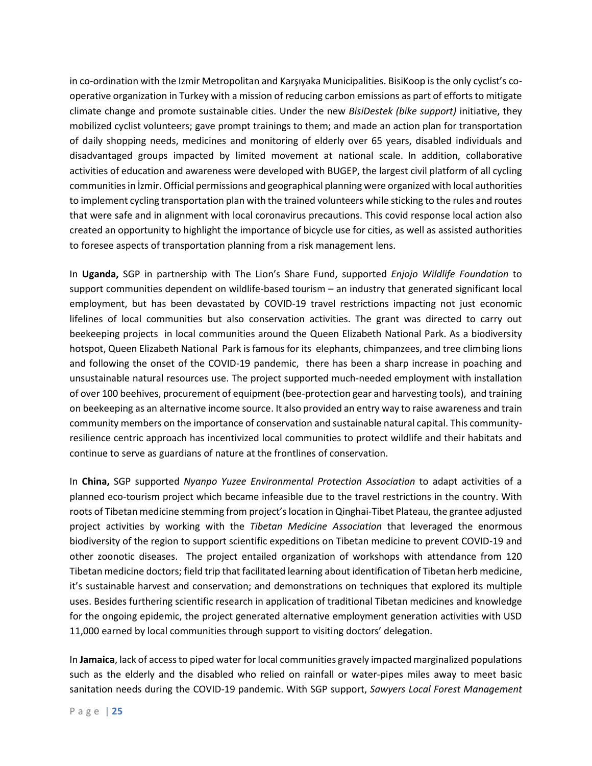in co-ordination with the Izmir Metropolitan and Karşıyaka Municipalities. BisiKoop is the only cyclist's cooperative organization in Turkey with a mission of reducing carbon emissions as part of efforts to mitigate climate change and promote sustainable cities. Under the new *BisiDestek (bike support)* initiative, they mobilized cyclist volunteers; gave prompt trainings to them; and made an action plan for transportation of daily shopping needs, medicines and monitoring of elderly over 65 years, disabled individuals and disadvantaged groups impacted by limited movement at national scale. In addition, collaborative activities of education and awareness were developed with BUGEP, the largest civil platform of all cycling communities in İzmir. Official permissions and geographical planning were organized with local authorities to implement cycling transportation plan with the trained volunteers while sticking to the rules and routes that were safe and in alignment with local coronavirus precautions. This covid response local action also created an opportunity to highlight the importance of bicycle use for cities, as well as assisted authorities to foresee aspects of transportation planning from a risk management lens.

In **Uganda,** SGP in partnership with The Lion's Share Fund, supported *Enjojo Wildlife Foundation* to support communities dependent on wildlife-based tourism – an industry that generated significant local employment, but has been devastated by COVID-19 travel restrictions impacting not just economic lifelines of local communities but also conservation activities. The grant was directed to carry out beekeeping projects in local communities around the Queen Elizabeth National Park. As a biodiversity hotspot, Queen Elizabeth National Park is famous for its elephants, chimpanzees, and tree climbing lions and following the onset of the COVID-19 pandemic, there has been a sharp increase in poaching and unsustainable natural resources use. The project supported much-needed employment with installation of over 100 beehives, procurement of equipment (bee-protection gear and harvesting tools), and training on beekeeping as an alternative income source. It also provided an entry way to raise awareness and train community members on the importance of conservation and sustainable natural capital. This communityresilience centric approach has incentivized local communities to protect wildlife and their habitats and continue to serve as guardians of nature at the frontlines of conservation.

In **China,** SGP supported *[Nyanpo Yuzee Environmental Protection Association](http://176.61.146.92/intranet/index.cfm?module=Company&page=Company&CompanyID=21313)* to adapt activities of a planned eco-tourism project which became infeasible due to the travel restrictions in the country. With roots of Tibetan medicine stemming from project's location in Qinghai-Tibet Plateau, the grantee adjusted project activities by working with the *Tibetan Medicine Association* that leveraged the enormous biodiversity of the region to support scientific expeditions on Tibetan medicine to prevent COVID-19 and other zoonotic diseases. The project entailed organization of workshops with attendance from 120 Tibetan medicine doctors; field trip that facilitated learning about identification of Tibetan herb medicine, it's sustainable harvest and conservation; and demonstrations on techniques that explored its multiple uses. Besides furthering scientific research in application of traditional Tibetan medicines and knowledge for the ongoing epidemic, the project generated alternative employment generation activities with USD 11,000 earned by local communities through support to visiting doctors' delegation.

In **Jamaica**, lack of access to piped water for local communities gravely impacted marginalized populations such as the elderly and the disabled who relied on rainfall or water-pipes miles away to meet basic sanitation needs during the COVID-19 pandemic. With SGP support, *Sawyers Local Forest Management*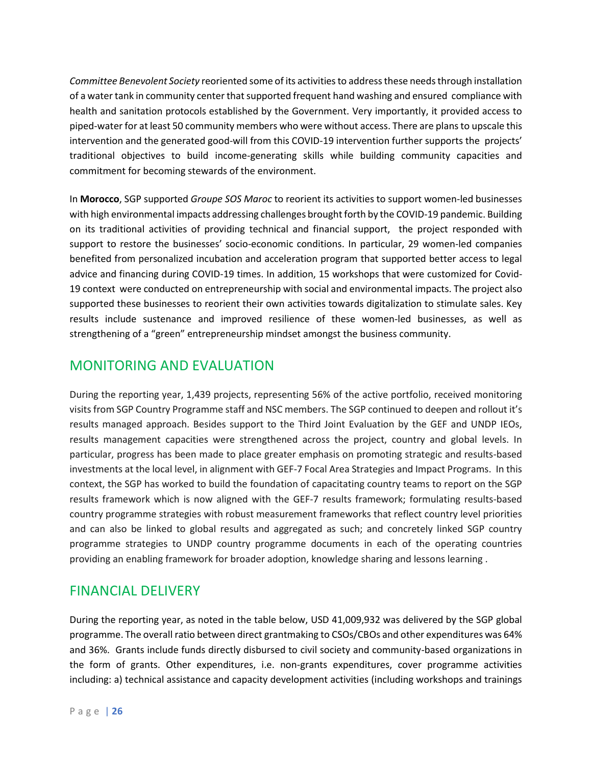*Committee Benevolent Society* reoriented some of its activities to address these needs through installation of a water tank in community center that supported frequent hand washing and ensured compliance with health and sanitation protocols established by the Government. Very importantly, it provided access to piped-water for at least 50 community members who were without access. There are plans to upscale this intervention and the generated good-will from this COVID-19 intervention further supports the projects' traditional objectives to build income-generating skills while building community capacities and commitment for becoming stewards of the environment.

In **Morocco**, SGP supported *Groupe SOS Maroc* to reorient its activities to support women-led businesses with high environmental impacts addressing challenges brought forth by the COVID-19 pandemic. Building on its traditional activities of providing technical and financial support, the project responded with support to restore the businesses' socio-economic conditions. In particular, 29 women-led companies benefited from personalized incubation and acceleration program that supported better access to legal advice and financing during COVID-19 times. In addition, 15 workshops that were customized for Covid-19 context were conducted on entrepreneurship with social and environmental impacts. The project also supported these businesses to reorient their own activities towards digitalization to stimulate sales. Key results include sustenance and improved resilience of these women-led businesses, as well as strengthening of a "green" entrepreneurship mindset amongst the business community.

# MONITORING AND EVALUATION

During the reporting year, 1,439 projects, representing 56% of the active portfolio, received monitoring visits from SGP Country Programme staff and NSC members. The SGP continued to deepen and rollout it's results managed approach. Besides support to the Third Joint Evaluation by the GEF and UNDP IEOs, results management capacities were strengthened across the project, country and global levels. In particular, progress has been made to place greater emphasis on promoting strategic and results-based investments at the local level, in alignment with GEF-7 Focal Area Strategies and Impact Programs. In this context, the SGP has worked to build the foundation of capacitating country teams to report on the SGP results framework which is now aligned with the GEF-7 results framework; formulating results-based country programme strategies with robust measurement frameworks that reflect country level priorities and can also be linked to global results and aggregated as such; and concretely linked SGP country programme strategies to UNDP country programme documents in each of the operating countries providing an enabling framework for broader adoption, knowledge sharing and lessons learning .

# FINANCIAL DELIVERY

During the reporting year, as noted in the table below, USD 41,009,932 was delivered by the SGP global programme. The overall ratio between direct grantmaking to CSOs/CBOs and other expenditures was 64% and 36%. Grants include funds directly disbursed to civil society and community-based organizations in the form of grants. Other expenditures, i.e. non-grants expenditures, cover programme activities including: a) technical assistance and capacity development activities (including workshops and trainings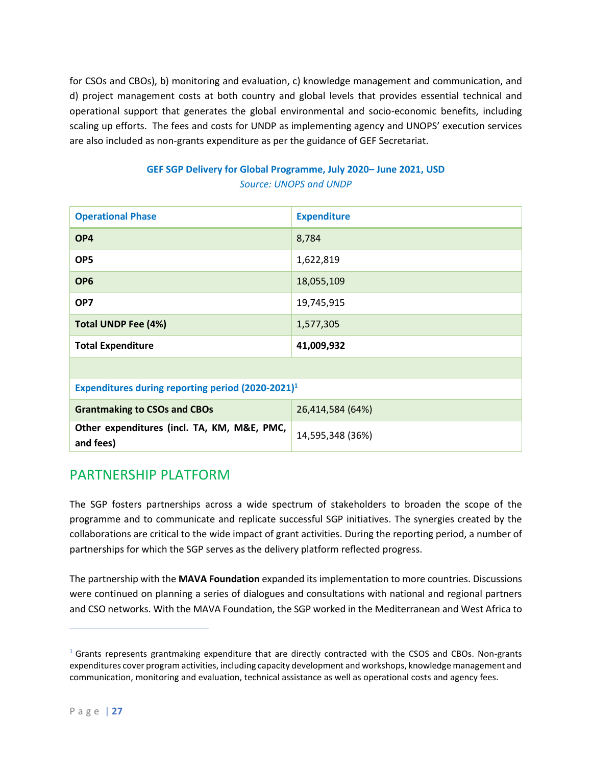for CSOs and CBOs), b) monitoring and evaluation, c) knowledge management and communication, and d) project management costs at both country and global levels that provides essential technical and operational support that generates the global environmental and socio-economic benefits, including scaling up efforts. The fees and costs for UNDP as implementing agency and UNOPS' execution services are also included as non-grants expenditure as per the guidance of GEF Secretariat.

| <b>Operational Phase</b>                                 | <b>Expenditure</b> |  |  |
|----------------------------------------------------------|--------------------|--|--|
| OP4                                                      | 8,784              |  |  |
| OP <sub>5</sub>                                          | 1,622,819          |  |  |
| OP <sub>6</sub>                                          | 18,055,109         |  |  |
| OP7                                                      | 19,745,915         |  |  |
| <b>Total UNDP Fee (4%)</b>                               | 1,577,305          |  |  |
| <b>Total Expenditure</b>                                 | 41,009,932         |  |  |
|                                                          |                    |  |  |
| Expenditures during reporting period $(2020-2021)^1$     |                    |  |  |
| <b>Grantmaking to CSOs and CBOs</b>                      | 26,414,584 (64%)   |  |  |
| Other expenditures (incl. TA, KM, M&E, PMC,<br>and fees) | 14,595,348 (36%)   |  |  |

### **GEF SGP Delivery for Global Programme, July 2020– June 2021, USD** *Source: UNOPS and UNDP*

# PARTNERSHIP PLATFORM

The SGP fosters partnerships across a wide spectrum of stakeholders to broaden the scope of the programme and to communicate and replicate successful SGP initiatives. The synergies created by the collaborations are critical to the wide impact of grant activities. During the reporting period, a number of partnerships for which the SGP serves as the delivery platform reflected progress.

The partnership with the **MAVA Foundation** expanded its implementation to more countries. Discussions were continued on planning a series of dialogues and consultations with national and regional partners and CSO networks. With the MAVA Foundation, the SGP worked in the Mediterranean and West Africa to

 $1$  Grants represents grantmaking expenditure that are directly contracted with the CSOS and CBOs. Non-grants expenditures cover program activities, including capacity development and workshops, knowledge management and communication, monitoring and evaluation, technical assistance as well as operational costs and agency fees.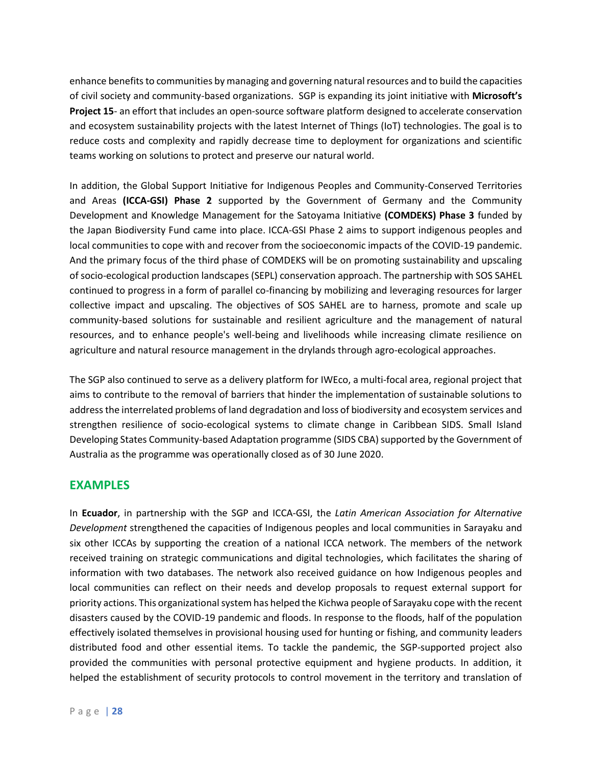enhance benefits to communities by managing and governing natural resources and to build the capacities of civil society and community-based organizations. SGP is expanding its joint initiative with **Microsoft's Project 15**- an effort that includes an open-source software platform designed to accelerate conservation and ecosystem sustainability projects with the latest Internet of Things (IoT) technologies. The goal is to reduce costs and complexity and rapidly decrease time to deployment for organizations and scientific teams working on solutions to protect and preserve our natural world.

In addition, the Global Support Initiative for Indigenous Peoples and Community-Conserved Territories and Areas **(ICCA-GSI) Phase 2** supported by the Government of Germany and the Community Development and Knowledge Management for the Satoyama Initiative **(COMDEKS) Phase 3** funded by the Japan Biodiversity Fund came into place. ICCA-GSI Phase 2 aims to support indigenous peoples and local communities to cope with and recover from the socioeconomic impacts of the COVID-19 pandemic. And the primary focus of the third phase of COMDEKS will be on promoting sustainability and upscaling of socio-ecological production landscapes (SEPL) conservation approach. The partnership with SOS SAHEL continued to progress in a form of parallel co-financing by mobilizing and leveraging resources for larger collective impact and upscaling. The objectives of SOS SAHEL are to harness, promote and scale up community-based solutions for sustainable and resilient agriculture and the management of natural resources, and to enhance people's well-being and livelihoods while increasing climate resilience on agriculture and natural resource management in the drylands through agro-ecological approaches.

The SGP also continued to serve as a delivery platform for IWEco, a multi-focal area, regional project that aims to contribute to the removal of barriers that hinder the implementation of sustainable solutions to address the interrelated problems of land degradation and loss of biodiversity and ecosystem services and strengthen resilience of socio-ecological systems to climate change in Caribbean SIDS. Small Island Developing States Community-based Adaptation programme (SIDS CBA) supported by the Government of Australia as the programme was operationally closed as of 30 June 2020.

### **EXAMPLES**

In **Ecuador**, in partnership with the SGP and ICCA-GSI, the *Latin American Association for Alternative Development* strengthened the capacities of Indigenous peoples and local communities in Sarayaku and six other ICCAs by supporting the creation of a national ICCA network. The members of the network received training on strategic communications and digital technologies, which facilitates the sharing of information with two databases. The network also received guidance on how Indigenous peoples and local communities can reflect on their needs and develop proposals to request external support for priority actions. This organizational system has helped the Kichwa people of Sarayaku cope with the recent disasters caused by the COVID-19 pandemic and floods. In response to the floods, half of the population effectively isolated themselves in provisional housing used for hunting or fishing, and community leaders distributed food and other essential items. To tackle the pandemic, the SGP-supported project also provided the communities with personal protective equipment and hygiene products. In addition, it helped the establishment of security protocols to control movement in the territory and translation of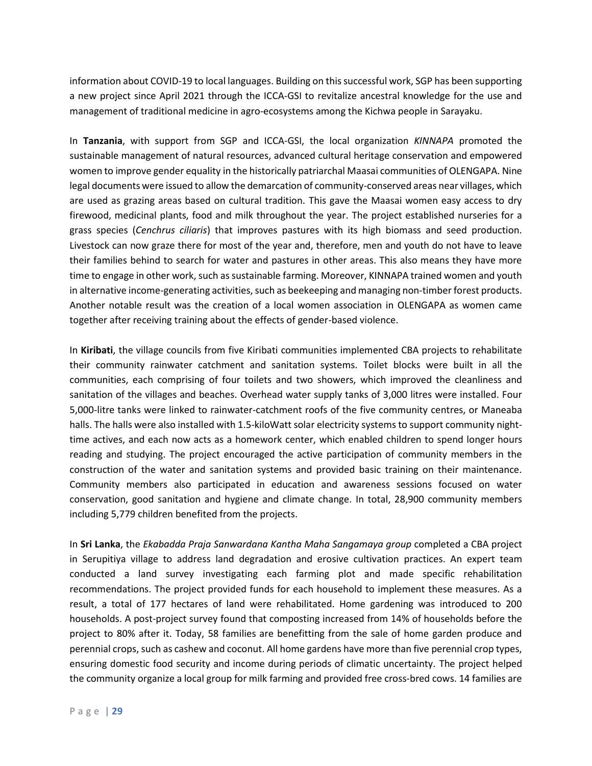information about COVID-19 to local languages. Building on this successful work, SGP has been supporting a new project since April 2021 through the ICCA-GSI to revitalize ancestral knowledge for the use and management of traditional medicine in agro-ecosystems among the Kichwa people in Sarayaku.

In **Tanzania**, with support from SGP and ICCA-GSI, the local organization *KINNAPA* promoted the sustainable management of natural resources, advanced cultural heritage conservation and empowered women to improve gender equality in the historically patriarchal Maasai communities of OLENGAPA. Nine legal documents were issued to allow the demarcation of community-conserved areas near villages, which are used as grazing areas based on cultural tradition. This gave the Maasai women easy access to dry firewood, medicinal plants, food and milk throughout the year. The project established nurseries for a grass species (*Cenchrus ciliaris*) that improves pastures with its high biomass and seed production. Livestock can now graze there for most of the year and, therefore, men and youth do not have to leave their families behind to search for water and pastures in other areas. This also means they have more time to engage in other work, such as sustainable farming. Moreover, KINNAPA trained women and youth in alternative income-generating activities, such as beekeeping and managing non-timber forest products. Another notable result was the creation of a local women association in OLENGAPA as women came together after receiving training about the effects of gender-based violence.

In **Kiribati**, the village councils from five Kiribati communities implemented CBA projects to rehabilitate their community rainwater catchment and sanitation systems. Toilet blocks were built in all the communities, each comprising of four toilets and two showers, which improved the cleanliness and sanitation of the villages and beaches. Overhead water supply tanks of 3,000 litres were installed. Four 5,000-litre tanks were linked to rainwater-catchment roofs of the five community centres, or Maneaba halls. The halls were also installed with 1.5-kiloWatt solar electricity systems to support community nighttime actives, and each now acts as a homework center, which enabled children to spend longer hours reading and studying. The project encouraged the active participation of community members in the construction of the water and sanitation systems and provided basic training on their maintenance. Community members also participated in education and awareness sessions focused on water conservation, good sanitation and hygiene and climate change. In total, 28,900 community members including 5,779 children benefited from the projects.

In **Sri Lanka**, the *Ekabadda Praja Sanwardana Kantha Maha Sangamaya group* completed a CBA project in Serupitiya village to address land degradation and erosive cultivation practices. An expert team conducted a land survey investigating each farming plot and made specific rehabilitation recommendations. The project provided funds for each household to implement these measures. As a result, a total of 177 hectares of land were rehabilitated. Home gardening was introduced to 200 households. A post-project survey found that composting increased from 14% of households before the project to 80% after it. Today, 58 families are benefitting from the sale of home garden produce and perennial crops, such as cashew and coconut. All home gardens have more than five perennial crop types, ensuring domestic food security and income during periods of climatic uncertainty. The project helped the community organize a local group for milk farming and provided free cross-bred cows. 14 families are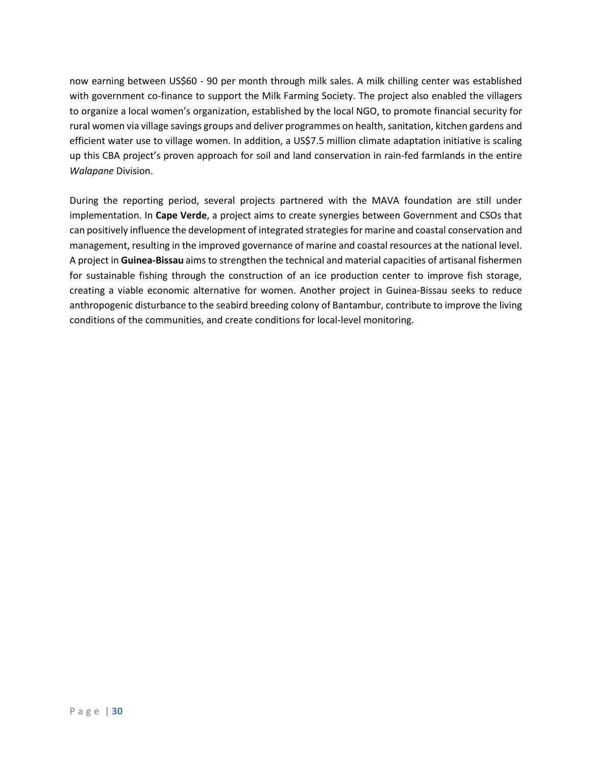now earning between US\$60 - 90 per month through milk sales. A milk chilling center was established with government co-finance to support the Milk Farming Society. The project also enabled the villagers to organize a local women's organization, established by the local NGO, to promote financial security for rural women via village savings groups and deliver programmes on health, sanitation, kitchen gardens and efficient water use to village women. In addition, a US\$7.5 million climate adaptation initiative is scaling up this CBA project's proven approach for soil and land conservation in rain-fed farmlands in the entire *Walapane* Division.

During the reporting period, several projects partnered with the MAVA foundation are still under implementation. In **Cape Verde**, a project aims to create synergies between Government and CSOs that can positively influence the development of integrated strategies for marine and coastal conservation and management, resulting in the improved governance of marine and coastal resources at the national level. A project in **Guinea-Bissau** aims to strengthen the technical and material capacities of artisanal fishermen for sustainable fishing through the construction of an ice production center to improve fish storage, creating a viable economic alternative for women. Another project in Guinea-Bissau seeks to reduce anthropogenic disturbance to the seabird breeding colony of Bantambur, contribute to improve the living conditions of the communities, and create conditions for local-level monitoring.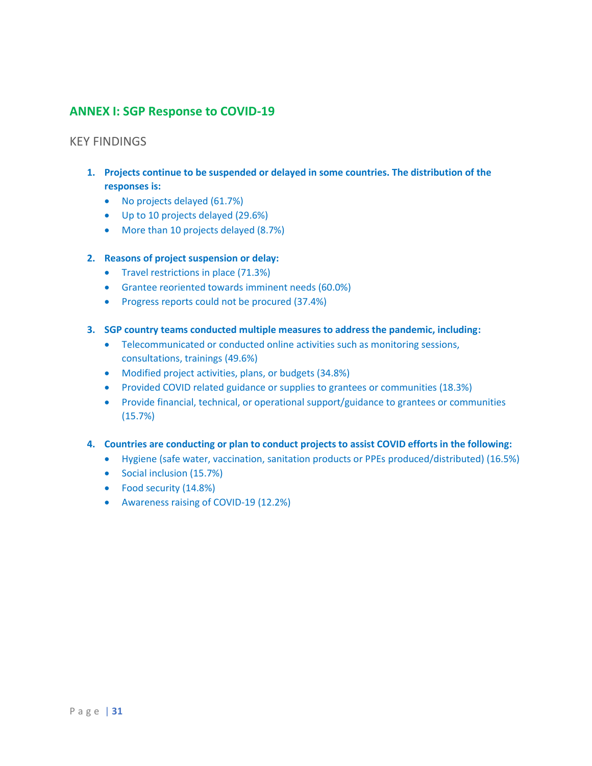### **ANNEX I: SGP Response to COVID-19**

### KEY FINDINGS

- **1. Projects continue to be suspended or delayed in some countries. The distribution of the responses is:**
	- No projects delayed (61.7%)
	- Up to 10 projects delayed (29.6%)
	- More than 10 projects delayed (8.7%)

### **2. Reasons of project suspension or delay:**

- Travel restrictions in place (71.3%)
- Grantee reoriented towards imminent needs (60.0%)
- Progress reports could not be procured (37.4%)

### **3. SGP country teams conducted multiple measures to address the pandemic, including:**

- Telecommunicated or conducted online activities such as monitoring sessions, consultations, trainings (49.6%)
- Modified project activities, plans, or budgets (34.8%)
- Provided COVID related guidance or supplies to grantees or communities (18.3%)
- Provide financial, technical, or operational support/guidance to grantees or communities (15.7%)

### **4. Countries are conducting or plan to conduct projects to assist COVID efforts in the following:**

- Hygiene (safe water, vaccination, sanitation products or PPEs produced/distributed) (16.5%)
- Social inclusion (15.7%)
- Food security (14.8%)
- Awareness raising of COVID-19 (12.2%)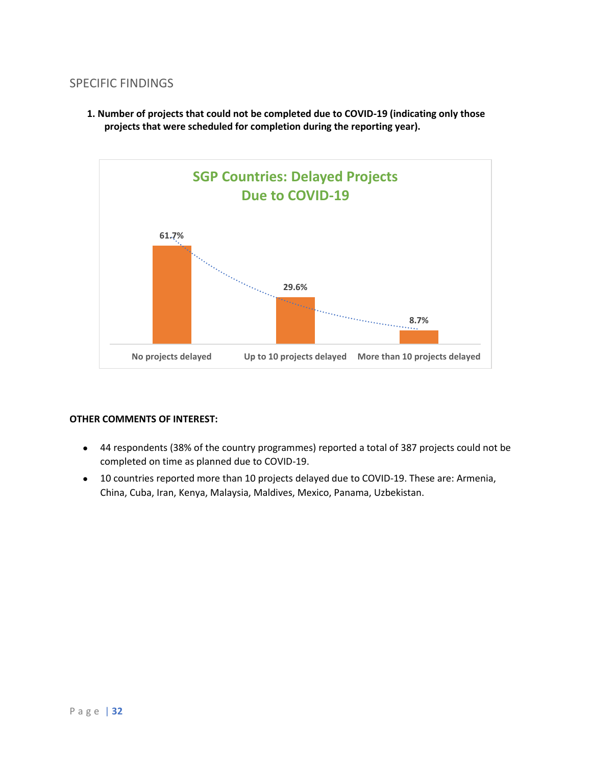### SPECIFIC FINDINGS

**1. Number of projects that could not be completed due to COVID-19 (indicating only those projects that were scheduled for completion during the reporting year).**



- 44 respondents (38% of the country programmes) reported a total of 387 projects could not be completed on time as planned due to COVID-19.
- 10 countries reported more than 10 projects delayed due to COVID-19. These are: Armenia, China, Cuba, Iran, Kenya, Malaysia, Maldives, Mexico, Panama, Uzbekistan.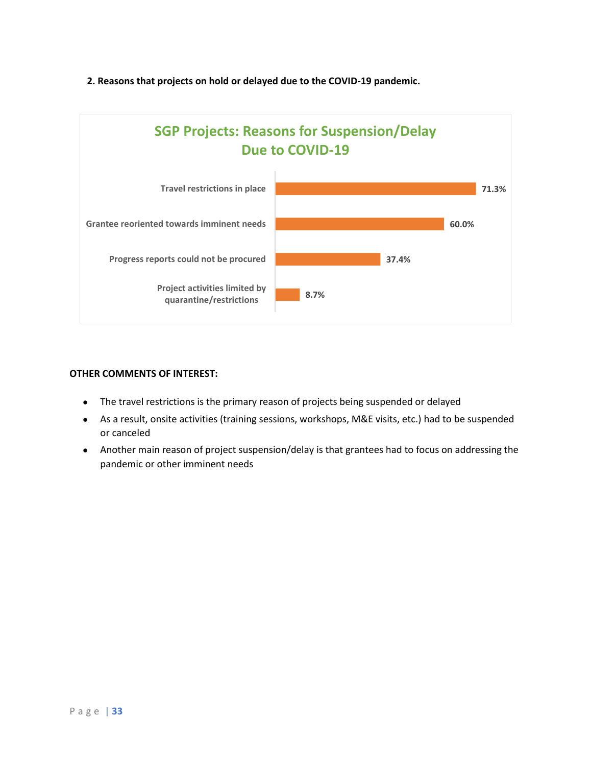### **2. Reasons that projects on hold or delayed due to the COVID-19 pandemic.**



- The travel restrictions is the primary reason of projects being suspended or delayed
- As a result, onsite activities (training sessions, workshops, M&E visits, etc.) had to be suspended or canceled
- Another main reason of project suspension/delay is that grantees had to focus on addressing the pandemic or other imminent needs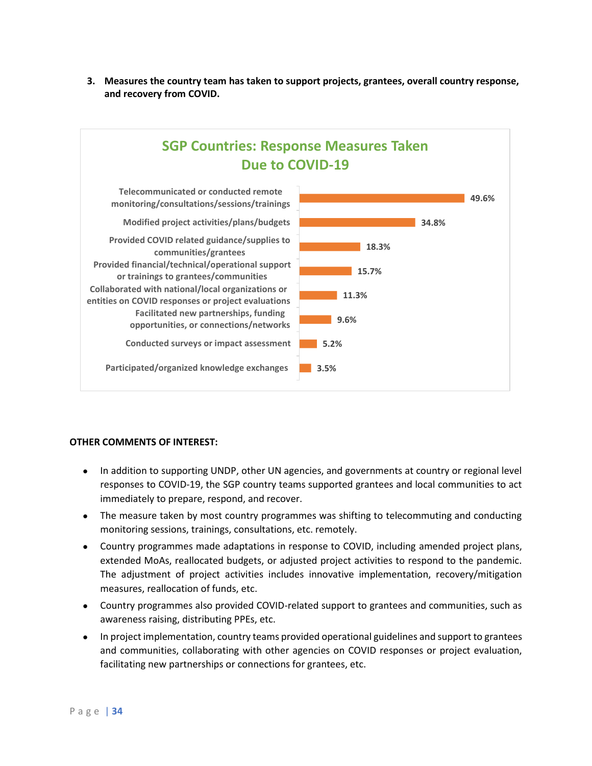**3. Measures the country team has taken to support projects, grantees, overall country response, and recovery from COVID.** 



- In addition to supporting UNDP, other UN agencies, and governments at country or regional level responses to COVID-19, the SGP country teams supported grantees and local communities to act immediately to prepare, respond, and recover.
- The measure taken by most country programmes was shifting to telecommuting and conducting monitoring sessions, trainings, consultations, etc. remotely.
- Country programmes made adaptations in response to COVID, including amended project plans, extended MoAs, reallocated budgets, or adjusted project activities to respond to the pandemic. The adjustment of project activities includes innovative implementation, recovery/mitigation measures, reallocation of funds, etc.
- Country programmes also provided COVID-related support to grantees and communities, such as awareness raising, distributing PPEs, etc.
- In project implementation, country teams provided operational guidelines and support to grantees and communities, collaborating with other agencies on COVID responses or project evaluation, facilitating new partnerships or connections for grantees, etc.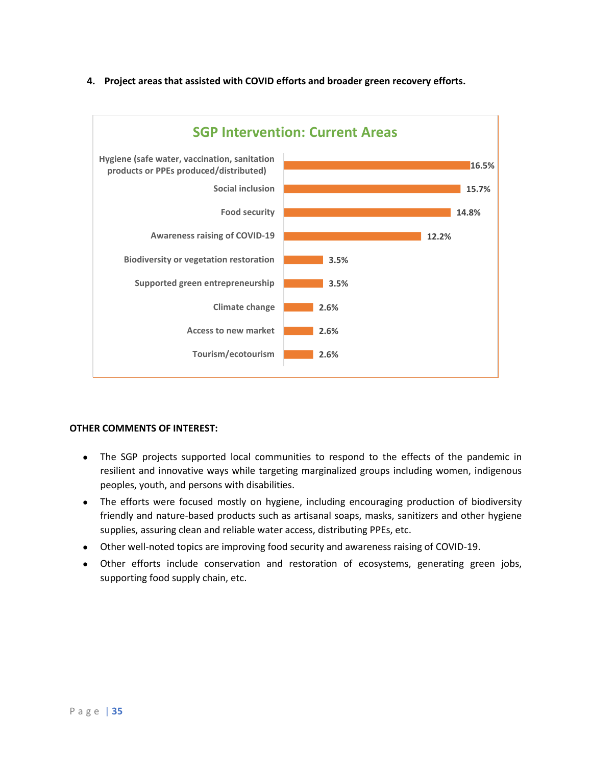

### **4. Project areas that assisted with COVID efforts and broader green recovery efforts.**

- The SGP projects supported local communities to respond to the effects of the pandemic in resilient and innovative ways while targeting marginalized groups including women, indigenous peoples, youth, and persons with disabilities.
- The efforts were focused mostly on hygiene, including encouraging production of biodiversity friendly and nature-based products such as artisanal soaps, masks, sanitizers and other hygiene supplies, assuring clean and reliable water access, distributing PPEs, etc.
- Other well-noted topics are improving food security and awareness raising of COVID-19.
- Other efforts include conservation and restoration of ecosystems, generating green jobs, supporting food supply chain, etc.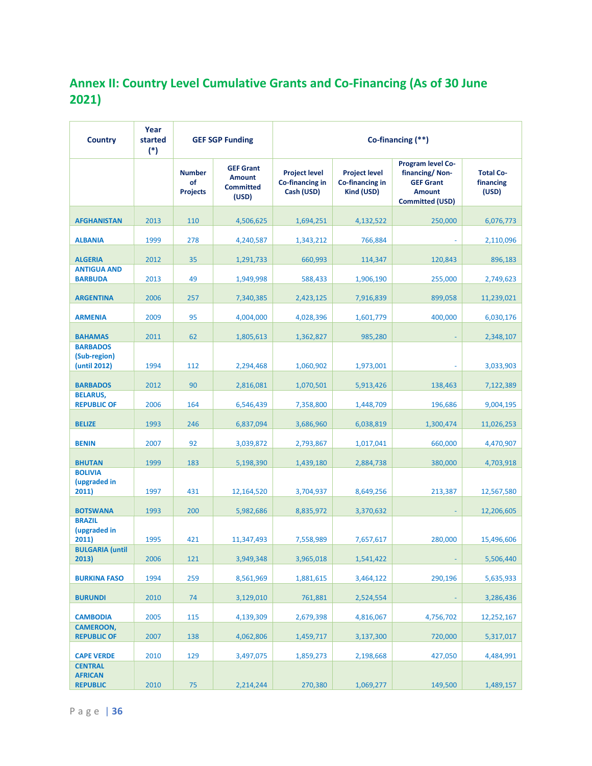# **Annex II: Country Level Cumulative Grants and Co-Financing (As of 30 June 2021)**

| <b>Country</b>                                      | Year<br>started<br>$(*)$ | <b>GEF SGP Funding</b>                 |                                                                | Co-financing (**)                                     |                                                       |                                                                                                           |                                        |
|-----------------------------------------------------|--------------------------|----------------------------------------|----------------------------------------------------------------|-------------------------------------------------------|-------------------------------------------------------|-----------------------------------------------------------------------------------------------------------|----------------------------------------|
|                                                     |                          | <b>Number</b><br>of<br><b>Projects</b> | <b>GEF Grant</b><br><b>Amount</b><br><b>Committed</b><br>(USD) | <b>Project level</b><br>Co-financing in<br>Cash (USD) | <b>Project level</b><br>Co-financing in<br>Kind (USD) | <b>Program level Co-</b><br>financing/Non-<br><b>GEF Grant</b><br><b>Amount</b><br><b>Committed (USD)</b> | <b>Total Co-</b><br>financing<br>(USD) |
| <b>AFGHANISTAN</b>                                  | 2013                     | 110                                    | 4,506,625                                                      | 1,694,251                                             | 4,132,522                                             | 250,000                                                                                                   | 6,076,773                              |
| <b>ALBANIA</b>                                      | 1999                     | 278                                    | 4,240,587                                                      | 1,343,212                                             | 766,884                                               |                                                                                                           | 2,110,096                              |
| <b>ALGERIA</b>                                      | 2012                     | 35                                     | 1,291,733                                                      | 660,993                                               | 114,347                                               | 120,843                                                                                                   | 896,183                                |
| <b>ANTIGUA AND</b><br><b>BARBUDA</b>                | 2013                     | 49                                     | 1,949,998                                                      | 588,433                                               | 1,906,190                                             | 255,000                                                                                                   | 2,749,623                              |
| <b>ARGENTINA</b>                                    | 2006                     | 257                                    | 7,340,385                                                      | 2,423,125                                             | 7,916,839                                             | 899,058                                                                                                   | 11,239,021                             |
| <b>ARMENIA</b>                                      | 2009                     | 95                                     | 4,004,000                                                      | 4,028,396                                             | 1,601,779                                             | 400,000                                                                                                   | 6,030,176                              |
| <b>BAHAMAS</b>                                      | 2011                     | 62                                     | 1,805,613                                                      | 1,362,827                                             | 985,280                                               |                                                                                                           | 2,348,107                              |
| <b>BARBADOS</b><br>(Sub-region)<br>(until 2012)     | 1994                     | 112                                    | 2,294,468                                                      | 1,060,902                                             | 1,973,001                                             |                                                                                                           | 3,033,903                              |
| <b>BARBADOS</b>                                     | 2012                     | 90                                     | 2,816,081                                                      | 1,070,501                                             | 5,913,426                                             | 138,463                                                                                                   | 7,122,389                              |
| <b>BELARUS,</b><br><b>REPUBLIC OF</b>               | 2006                     | 164                                    | 6,546,439                                                      | 7,358,800                                             | 1,448,709                                             | 196,686                                                                                                   | 9,004,195                              |
| <b>BELIZE</b>                                       | 1993                     | 246                                    | 6,837,094                                                      | 3,686,960                                             | 6,038,819                                             | 1,300,474                                                                                                 | 11,026,253                             |
| <b>BENIN</b>                                        | 2007                     | 92                                     | 3,039,872                                                      | 2,793,867                                             | 1,017,041                                             | 660,000                                                                                                   | 4,470,907                              |
| <b>BHUTAN</b>                                       | 1999                     | 183                                    | 5,198,390                                                      | 1,439,180                                             | 2,884,738                                             | 380,000                                                                                                   | 4,703,918                              |
| <b>BOLIVIA</b><br>(upgraded in<br>2011)             | 1997                     | 431                                    | 12,164,520                                                     | 3,704,937                                             | 8,649,256                                             | 213,387                                                                                                   | 12,567,580                             |
| <b>BOTSWANA</b>                                     | 1993                     | 200                                    | 5,982,686                                                      | 8,835,972                                             | 3,370,632                                             |                                                                                                           | 12,206,605                             |
| <b>BRAZIL</b><br>(upgraded in<br>2011)              | 1995                     | 421                                    | 11,347,493                                                     | 7,558,989                                             | 7,657,617                                             | 280,000                                                                                                   | 15,496,606                             |
| <b>BULGARIA</b> (until<br>2013)                     | 2006                     | 121                                    | 3,949,348                                                      | 3,965,018                                             | 1,541,422                                             |                                                                                                           | 5,506,440                              |
| <b>BURKINA FASO</b>                                 | 1994                     | 259                                    | 8,561,969                                                      | 1,881,615                                             | 3,464,122                                             | 290,196                                                                                                   | 5,635,933                              |
| <b>BURUNDI</b>                                      | 2010                     | 74                                     | 3,129,010                                                      | 761,881                                               | 2,524,554                                             |                                                                                                           | 3,286,436                              |
| <b>CAMBODIA</b>                                     | 2005                     | 115                                    | 4,139,309                                                      | 2,679,398                                             | 4,816,067                                             | 4,756,702                                                                                                 | 12,252,167                             |
| <b>CAMEROON,</b><br><b>REPUBLIC OF</b>              | 2007                     | 138                                    | 4,062,806                                                      | 1,459,717                                             | 3,137,300                                             | 720,000                                                                                                   | 5,317,017                              |
| <b>CAPE VERDE</b>                                   | 2010                     | 129                                    | 3,497,075                                                      | 1,859,273                                             | 2,198,668                                             | 427,050                                                                                                   | 4,484,991                              |
| <b>CENTRAL</b><br><b>AFRICAN</b><br><b>REPUBLIC</b> | 2010                     | 75                                     | 2,214,244                                                      | 270,380                                               | 1,069,277                                             | 149,500                                                                                                   | 1,489,157                              |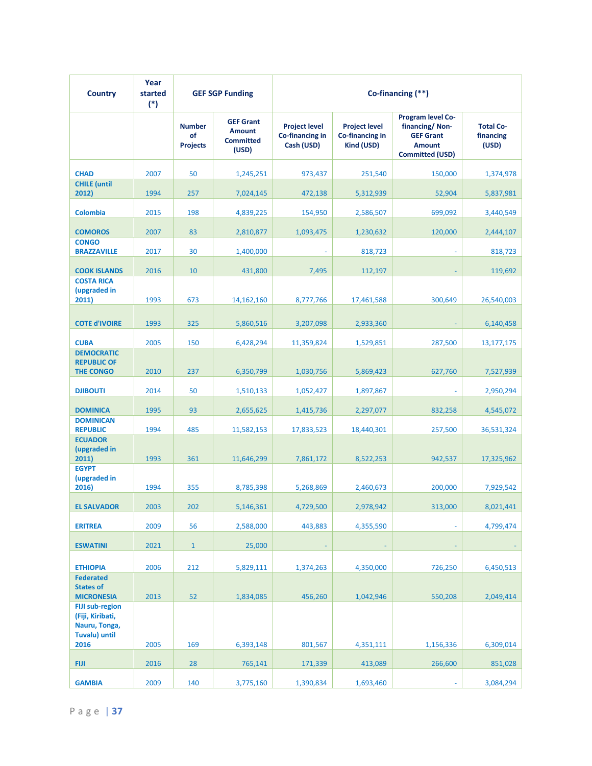| <b>Country</b>                                                                                           | Year<br>started<br>$(*)$ | <b>GEF SGP Funding</b>                 |                                                                | Co-financing (**)                                     |                                                       |                                                                                                           |                                        |
|----------------------------------------------------------------------------------------------------------|--------------------------|----------------------------------------|----------------------------------------------------------------|-------------------------------------------------------|-------------------------------------------------------|-----------------------------------------------------------------------------------------------------------|----------------------------------------|
|                                                                                                          |                          | <b>Number</b><br>of<br><b>Projects</b> | <b>GEF Grant</b><br><b>Amount</b><br><b>Committed</b><br>(USD) | <b>Project level</b><br>Co-financing in<br>Cash (USD) | <b>Project level</b><br>Co-financing in<br>Kind (USD) | <b>Program level Co-</b><br>financing/Non-<br><b>GEF Grant</b><br><b>Amount</b><br><b>Committed (USD)</b> | <b>Total Co-</b><br>financing<br>(USD) |
| <b>CHAD</b>                                                                                              | 2007                     | 50                                     | 1,245,251                                                      | 973,437                                               | 251,540                                               | 150,000                                                                                                   | 1,374,978                              |
| <b>CHILE</b> (until<br>2012)                                                                             | 1994                     | 257                                    | 7,024,145                                                      | 472,138                                               | 5,312,939                                             | 52,904                                                                                                    | 5,837,981                              |
| <b>Colombia</b>                                                                                          | 2015                     | 198                                    | 4,839,225                                                      | 154,950                                               | 2,586,507                                             | 699,092                                                                                                   | 3,440,549                              |
| <b>COMOROS</b>                                                                                           | 2007                     | 83                                     | 2,810,877                                                      | 1,093,475                                             | 1,230,632                                             | 120,000                                                                                                   | 2,444,107                              |
| <b>CONGO</b><br><b>BRAZZAVILLE</b>                                                                       | 2017                     | 30                                     | 1,400,000                                                      |                                                       | 818,723                                               |                                                                                                           | 818,723                                |
| <b>COOK ISLANDS</b>                                                                                      | 2016                     | 10                                     | 431,800                                                        | 7,495                                                 | 112,197                                               |                                                                                                           | 119,692                                |
| <b>COSTA RICA</b><br>(upgraded in<br>2011)                                                               | 1993                     | 673                                    | 14, 162, 160                                                   | 8,777,766                                             | 17,461,588                                            | 300,649                                                                                                   | 26,540,003                             |
| <b>COTE d'IVOIRE</b>                                                                                     | 1993                     | 325                                    | 5,860,516                                                      | 3,207,098                                             | 2,933,360                                             |                                                                                                           | 6,140,458                              |
| <b>CUBA</b>                                                                                              | 2005                     | 150                                    | 6,428,294                                                      | 11,359,824                                            | 1,529,851                                             | 287,500                                                                                                   | 13,177,175                             |
| <b>DEMOCRATIC</b><br><b>REPUBLIC OF</b>                                                                  |                          |                                        |                                                                |                                                       |                                                       |                                                                                                           |                                        |
| <b>THE CONGO</b>                                                                                         | 2010                     | 237                                    | 6,350,799                                                      | 1,030,756                                             | 5,869,423                                             | 627,760                                                                                                   | 7,527,939                              |
| <b>DJIBOUTI</b>                                                                                          | 2014                     | 50                                     | 1,510,133                                                      | 1,052,427                                             | 1,897,867                                             |                                                                                                           | 2,950,294                              |
| <b>DOMINICA</b>                                                                                          | 1995                     | 93                                     | 2,655,625                                                      | 1,415,736                                             | 2,297,077                                             | 832,258                                                                                                   | 4,545,072                              |
| <b>DOMINICAN</b><br><b>REPUBLIC</b>                                                                      | 1994                     | 485                                    | 11,582,153                                                     | 17,833,523                                            | 18,440,301                                            | 257,500                                                                                                   | 36,531,324                             |
| <b>ECUADOR</b><br>(upgraded in<br>2011)                                                                  | 1993                     | 361                                    | 11,646,299                                                     | 7,861,172                                             | 8,522,253                                             | 942,537                                                                                                   | 17,325,962                             |
| <b>EGYPT</b><br>(upgraded in<br>2016)                                                                    | 1994                     | 355                                    | 8,785,398                                                      | 5,268,869                                             | 2,460,673                                             | 200,000                                                                                                   | 7,929,542                              |
| <b>EL SALVADOR</b>                                                                                       | 2003                     | 202                                    | 5,146,361                                                      | 4,729,500                                             | 2,978,942                                             | 313,000                                                                                                   | 8,021,441                              |
| <b>ERITREA</b>                                                                                           | 2009                     | 56                                     | 2,588,000                                                      | 443,883                                               | 4,355,590                                             |                                                                                                           | 4,799,474                              |
|                                                                                                          |                          |                                        |                                                                |                                                       |                                                       |                                                                                                           |                                        |
| <b>ESWATINI</b>                                                                                          | 2021                     | $\mathbf{1}$                           | 25,000                                                         |                                                       |                                                       |                                                                                                           |                                        |
| <b>ETHIOPIA</b><br><b>Federated</b>                                                                      | 2006                     | 212                                    | 5,829,111                                                      | 1,374,263                                             | 4,350,000                                             | 726,250                                                                                                   | 6,450,513                              |
| <b>States of</b>                                                                                         |                          |                                        |                                                                |                                                       |                                                       |                                                                                                           |                                        |
| <b>MICRONESIA</b><br><b>FIJI sub-region</b><br>(Fiji, Kiribati,<br>Nauru, Tonga,<br><b>Tuvalu) until</b> | 2013                     | 52                                     | 1,834,085                                                      | 456,260                                               | 1,042,946                                             | 550,208                                                                                                   | 2,049,414                              |
| 2016                                                                                                     | 2005                     | 169                                    | 6,393,148                                                      | 801,567                                               | 4,351,111                                             | 1,156,336                                                                                                 | 6,309,014                              |
| <b>FIJI</b>                                                                                              | 2016                     | 28                                     | 765,141                                                        | 171,339                                               | 413,089                                               | 266,600                                                                                                   | 851,028                                |
| <b>GAMBIA</b>                                                                                            | 2009                     | 140                                    | 3,775,160                                                      | 1,390,834                                             | 1,693,460                                             |                                                                                                           | 3,084,294                              |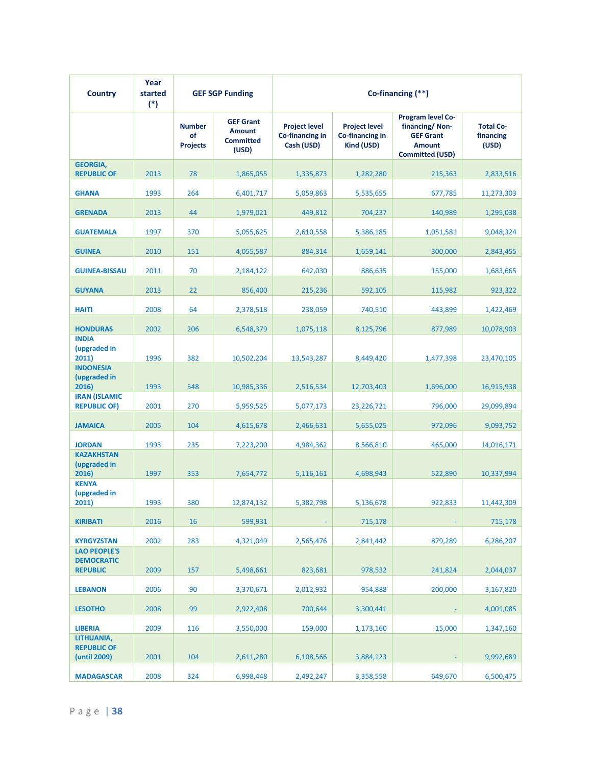| <b>Country</b>                                              | Year<br>started<br>$(*)$ |                                        | <b>GEF SGP Funding</b>                                         |                                                       | Co-financing (**)                                     |                                                                                                    |                                        |
|-------------------------------------------------------------|--------------------------|----------------------------------------|----------------------------------------------------------------|-------------------------------------------------------|-------------------------------------------------------|----------------------------------------------------------------------------------------------------|----------------------------------------|
|                                                             |                          | <b>Number</b><br>of<br><b>Projects</b> | <b>GEF Grant</b><br><b>Amount</b><br><b>Committed</b><br>(USD) | <b>Project level</b><br>Co-financing in<br>Cash (USD) | <b>Project level</b><br>Co-financing in<br>Kind (USD) | Program level Co-<br>financing/Non-<br><b>GEF Grant</b><br><b>Amount</b><br><b>Committed (USD)</b> | <b>Total Co-</b><br>financing<br>(USD) |
| <b>GEORGIA,</b><br><b>REPUBLIC OF</b>                       | 2013                     | 78                                     | 1,865,055                                                      | 1,335,873                                             | 1,282,280                                             | 215,363                                                                                            | 2,833,516                              |
| <b>GHANA</b>                                                | 1993                     | 264                                    | 6,401,717                                                      | 5,059,863                                             | 5,535,655                                             | 677,785                                                                                            | 11,273,303                             |
| <b>GRENADA</b>                                              | 2013                     | 44                                     | 1,979,021                                                      | 449,812                                               | 704,237                                               | 140,989                                                                                            | 1,295,038                              |
| <b>GUATEMALA</b>                                            | 1997                     | 370                                    | 5,055,625                                                      | 2,610,558                                             | 5,386,185                                             | 1,051,581                                                                                          | 9,048,324                              |
| <b>GUINEA</b>                                               | 2010                     | 151                                    | 4,055,587                                                      | 884,314                                               | 1,659,141                                             | 300,000                                                                                            | 2,843,455                              |
| <b>GUINEA-BISSAU</b>                                        | 2011                     | 70                                     | 2,184,122                                                      | 642,030                                               | 886,635                                               | 155,000                                                                                            | 1,683,665                              |
| <b>GUYANA</b>                                               | 2013                     | 22                                     | 856,400                                                        | 215,236                                               | 592,105                                               | 115,982                                                                                            | 923,322                                |
| <b>HAITI</b>                                                | 2008                     | 64                                     | 2,378,518                                                      | 238,059                                               | 740,510                                               | 443,899                                                                                            | 1,422,469                              |
| <b>HONDURAS</b>                                             | 2002                     | 206                                    | 6,548,379                                                      | 1,075,118                                             | 8,125,796                                             | 877,989                                                                                            | 10,078,903                             |
| <b>INDIA</b><br>(upgraded in<br>2011)                       | 1996                     | 382                                    | 10,502,204                                                     | 13,543,287                                            | 8,449,420                                             | 1,477,398                                                                                          | 23,470,105                             |
| <b>INDONESIA</b><br>(upgraded in<br>2016)                   | 1993                     | 548                                    | 10,985,336                                                     | 2,516,534                                             | 12,703,403                                            | 1,696,000                                                                                          | 16,915,938                             |
| <b>IRAN (ISLAMIC</b><br><b>REPUBLIC OF)</b>                 | 2001                     | 270                                    | 5,959,525                                                      | 5,077,173                                             | 23,226,721                                            | 796,000                                                                                            | 29,099,894                             |
| <b>JAMAICA</b>                                              | 2005                     | 104                                    | 4,615,678                                                      | 2,466,631                                             | 5,655,025                                             | 972,096                                                                                            | 9,093,752                              |
| <b>JORDAN</b>                                               | 1993                     | 235                                    | 7,223,200                                                      | 4,984,362                                             | 8,566,810                                             | 465,000                                                                                            | 14,016,171                             |
| <b>KAZAKHSTAN</b><br>(upgraded in<br>2016)                  | 1997                     | 353                                    | 7,654,772                                                      | 5,116,161                                             | 4,698,943                                             | 522,890                                                                                            | 10,337,994                             |
| <b>KENYA</b><br>(upgraded in<br>2011)                       | 1993                     | 380                                    | 12,874,132                                                     | 5,382,798                                             | 5,136,678                                             | 922,833                                                                                            | 11,442,309                             |
| <b>KIRIBATI</b>                                             | 2016                     | 16                                     | 599,931                                                        |                                                       | 715,178                                               |                                                                                                    | 715,178                                |
| <b>KYRGYZSTAN</b>                                           | 2002                     | 283                                    | 4,321,049                                                      | 2,565,476                                             | 2,841,442                                             | 879,289                                                                                            | 6,286,207                              |
| <b>LAO PEOPLE'S</b><br><b>DEMOCRATIC</b><br><b>REPUBLIC</b> | 2009                     | 157                                    | 5,498,661                                                      | 823,681                                               | 978,532                                               | 241,824                                                                                            | 2,044,037                              |
| <b>LEBANON</b>                                              | 2006                     | 90                                     | 3,370,671                                                      | 2,012,932                                             | 954,888                                               | 200,000                                                                                            | 3,167,820                              |
| <b>LESOTHO</b>                                              | 2008                     | 99                                     | 2,922,408                                                      | 700,644                                               | 3,300,441                                             |                                                                                                    | 4,001,085                              |
| <b>LIBERIA</b>                                              | 2009                     | 116                                    | 3,550,000                                                      | 159,000                                               | 1,173,160                                             | 15,000                                                                                             | 1,347,160                              |
| LITHUANIA,<br><b>REPUBLIC OF</b><br>(until 2009)            | 2001                     | 104                                    | 2,611,280                                                      | 6,108,566                                             | 3,884,123                                             |                                                                                                    | 9,992,689                              |
| <b>MADAGASCAR</b>                                           | 2008                     | 324                                    | 6,998,448                                                      | 2,492,247                                             | 3,358,558                                             | 649,670                                                                                            | 6,500,475                              |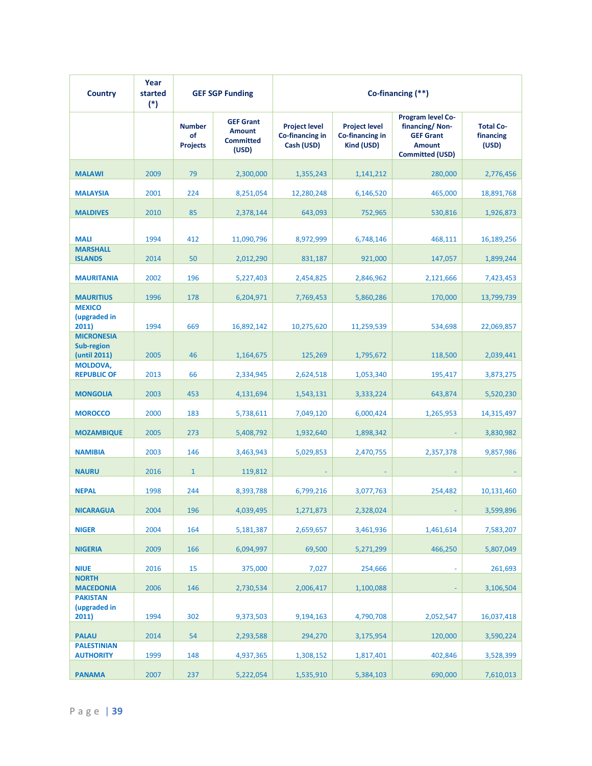| <b>Country</b>                                         | Year<br>started<br>$(*)$ |                                        | <b>GEF SGP Funding</b>                                         |                                                       | Co-financing (**)                                     |                                                                                                           |                                        |
|--------------------------------------------------------|--------------------------|----------------------------------------|----------------------------------------------------------------|-------------------------------------------------------|-------------------------------------------------------|-----------------------------------------------------------------------------------------------------------|----------------------------------------|
|                                                        |                          | <b>Number</b><br>of<br><b>Projects</b> | <b>GEF Grant</b><br><b>Amount</b><br><b>Committed</b><br>(USD) | <b>Project level</b><br>Co-financing in<br>Cash (USD) | <b>Project level</b><br>Co-financing in<br>Kind (USD) | <b>Program level Co-</b><br>financing/Non-<br><b>GEF Grant</b><br><b>Amount</b><br><b>Committed (USD)</b> | <b>Total Co-</b><br>financing<br>(USD) |
| <b>MALAWI</b>                                          | 2009                     | 79                                     | 2,300,000                                                      | 1,355,243                                             | 1,141,212                                             | 280,000                                                                                                   | 2,776,456                              |
| <b>MALAYSIA</b>                                        | 2001                     | 224                                    | 8,251,054                                                      | 12,280,248                                            | 6,146,520                                             | 465,000                                                                                                   | 18,891,768                             |
| <b>MALDIVES</b>                                        | 2010                     | 85                                     | 2,378,144                                                      | 643,093                                               | 752,965                                               | 530,816                                                                                                   | 1,926,873                              |
| <b>MALI</b>                                            | 1994                     | 412                                    | 11,090,796                                                     | 8,972,999                                             | 6,748,146                                             | 468,111                                                                                                   | 16,189,256                             |
| <b>MARSHALL</b><br><b>ISLANDS</b>                      | 2014                     | 50                                     | 2,012,290                                                      | 831,187                                               | 921,000                                               | 147,057                                                                                                   | 1,899,244                              |
| <b>MAURITANIA</b>                                      | 2002                     | 196                                    | 5,227,403                                                      | 2,454,825                                             | 2,846,962                                             | 2,121,666                                                                                                 | 7,423,453                              |
| <b>MAURITIUS</b>                                       | 1996                     | 178                                    | 6,204,971                                                      | 7,769,453                                             | 5,860,286                                             | 170,000                                                                                                   | 13,799,739                             |
| <b>MEXICO</b><br>(upgraded in<br>2011)                 | 1994                     | 669                                    | 16,892,142                                                     | 10,275,620                                            | 11,259,539                                            | 534,698                                                                                                   | 22,069,857                             |
| <b>MICRONESIA</b><br><b>Sub-region</b><br>(until 2011) | 2005                     | 46                                     | 1,164,675                                                      | 125,269                                               | 1,795,672                                             | 118,500                                                                                                   | 2,039,441                              |
| <b>MOLDOVA,</b><br><b>REPUBLIC OF</b>                  | 2013                     | 66                                     | 2,334,945                                                      | 2,624,518                                             | 1,053,340                                             | 195,417                                                                                                   | 3,873,275                              |
| <b>MONGOLIA</b>                                        | 2003                     | 453                                    | 4,131,694                                                      | 1,543,131                                             | 3,333,224                                             | 643,874                                                                                                   | 5,520,230                              |
| <b>MOROCCO</b>                                         | 2000                     | 183                                    | 5,738,611                                                      | 7,049,120                                             | 6,000,424                                             | 1,265,953                                                                                                 | 14,315,497                             |
| <b>MOZAMBIQUE</b>                                      | 2005                     | 273                                    | 5,408,792                                                      | 1,932,640                                             | 1,898,342                                             |                                                                                                           | 3,830,982                              |
| <b>NAMIBIA</b>                                         | 2003                     | 146                                    | 3,463,943                                                      | 5,029,853                                             | 2,470,755                                             | 2,357,378                                                                                                 | 9,857,986                              |
| <b>NAURU</b>                                           | 2016                     | $\mathbf{1}$                           | 119,812                                                        |                                                       |                                                       |                                                                                                           |                                        |
| <b>NEPAL</b>                                           | 1998                     | 244                                    | 8,393,788                                                      | 6,799,216                                             | 3,077,763                                             | 254,482                                                                                                   | 10,131,460                             |
| <b>NICARAGUA</b>                                       | 2004                     | 196                                    | 4,039,495                                                      | 1,271,873                                             | 2,328,024                                             |                                                                                                           | 3,599,896                              |
| <b>NIGER</b>                                           | 2004                     | 164                                    | 5,181,387                                                      | 2,659,657                                             | 3,461,936                                             | 1,461,614                                                                                                 | 7,583,207                              |
| <b>NIGERIA</b>                                         | 2009                     | 166                                    | 6,094,997                                                      | 69,500                                                | 5,271,299                                             | 466,250                                                                                                   | 5,807,049                              |
| <b>NIUE</b>                                            | 2016                     | 15                                     | 375,000                                                        | 7,027                                                 | 254,666                                               |                                                                                                           | 261,693                                |
| <b>NORTH</b><br><b>MACEDONIA</b>                       | 2006                     | 146                                    | 2,730,534                                                      | 2,006,417                                             | 1,100,088                                             |                                                                                                           | 3,106,504                              |
| <b>PAKISTAN</b><br>(upgraded in<br>2011)               | 1994                     | 302                                    | 9,373,503                                                      | 9,194,163                                             | 4,790,708                                             | 2,052,547                                                                                                 | 16,037,418                             |
| <b>PALAU</b>                                           | 2014                     | 54                                     | 2,293,588                                                      | 294,270                                               | 3,175,954                                             | 120,000                                                                                                   | 3,590,224                              |
| <b>PALESTINIAN</b><br><b>AUTHORITY</b>                 | 1999                     | 148                                    | 4,937,365                                                      | 1,308,152                                             | 1,817,401                                             | 402,846                                                                                                   | 3,528,399                              |
| <b>PANAMA</b>                                          | 2007                     | 237                                    | 5,222,054                                                      | 1,535,910                                             | 5,384,103                                             | 690,000                                                                                                   | 7,610,013                              |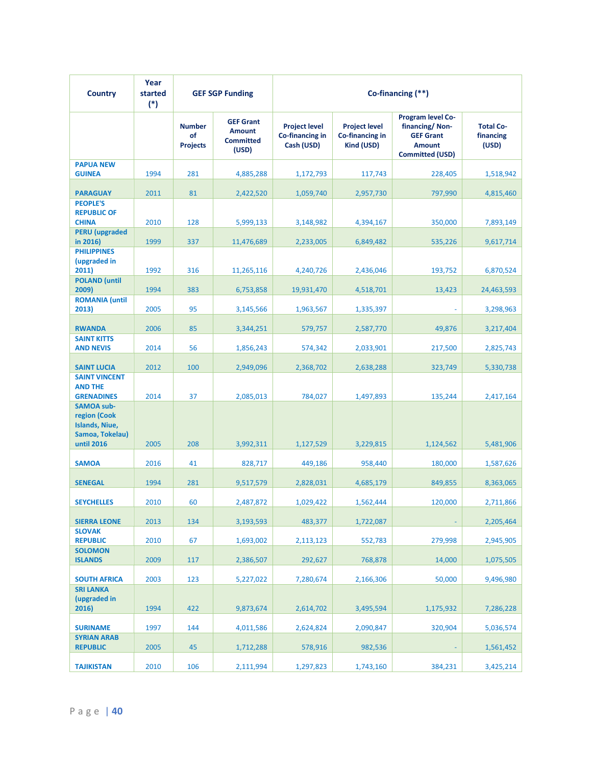| <b>Country</b>                                                                              | Year<br>started<br>$(*)$ | <b>GEF SGP Funding</b>                 |                                                                | Co-financing (**)                                     |                                                       |                                                                                                           |                                        |
|---------------------------------------------------------------------------------------------|--------------------------|----------------------------------------|----------------------------------------------------------------|-------------------------------------------------------|-------------------------------------------------------|-----------------------------------------------------------------------------------------------------------|----------------------------------------|
|                                                                                             |                          | <b>Number</b><br>of<br><b>Projects</b> | <b>GEF Grant</b><br><b>Amount</b><br><b>Committed</b><br>(USD) | <b>Project level</b><br>Co-financing in<br>Cash (USD) | <b>Project level</b><br>Co-financing in<br>Kind (USD) | <b>Program level Co-</b><br>financing/Non-<br><b>GEF Grant</b><br><b>Amount</b><br><b>Committed (USD)</b> | <b>Total Co-</b><br>financing<br>(USD) |
| <b>PAPUA NEW</b><br><b>GUINEA</b>                                                           | 1994                     | 281                                    | 4,885,288                                                      | 1,172,793                                             | 117,743                                               | 228,405                                                                                                   | 1,518,942                              |
| <b>PARAGUAY</b>                                                                             | 2011                     | 81                                     | 2,422,520                                                      | 1,059,740                                             | 2,957,730                                             | 797,990                                                                                                   | 4,815,460                              |
| <b>PEOPLE'S</b><br><b>REPUBLIC OF</b><br><b>CHINA</b>                                       | 2010                     | 128                                    | 5,999,133                                                      | 3,148,982                                             | 4,394,167                                             | 350,000                                                                                                   | 7,893,149                              |
| <b>PERU</b> (upgraded<br>in 2016)                                                           | 1999                     | 337                                    | 11,476,689                                                     | 2,233,005                                             | 6,849,482                                             | 535,226                                                                                                   | 9,617,714                              |
| <b>PHILIPPINES</b><br>(upgraded in<br>2011)                                                 | 1992                     | 316                                    | 11,265,116                                                     | 4,240,726                                             | 2,436,046                                             | 193,752                                                                                                   | 6,870,524                              |
| <b>POLAND</b> (until<br>2009)                                                               | 1994                     | 383                                    | 6,753,858                                                      | 19,931,470                                            | 4,518,701                                             | 13,423                                                                                                    | 24,463,593                             |
| <b>ROMANIA</b> (until<br>2013)                                                              | 2005                     | 95                                     | 3,145,566                                                      | 1,963,567                                             | 1,335,397                                             |                                                                                                           | 3,298,963                              |
| <b>RWANDA</b>                                                                               | 2006                     | 85                                     | 3,344,251                                                      | 579,757                                               | 2,587,770                                             | 49,876                                                                                                    | 3,217,404                              |
| <b>SAINT KITTS</b><br><b>AND NEVIS</b>                                                      | 2014                     | 56                                     | 1,856,243                                                      | 574,342                                               | 2,033,901                                             | 217,500                                                                                                   | 2,825,743                              |
| <b>SAINT LUCIA</b>                                                                          | 2012                     | 100                                    | 2,949,096                                                      | 2,368,702                                             | 2,638,288                                             | 323,749                                                                                                   | 5,330,738                              |
| <b>SAINT VINCENT</b><br><b>AND THE</b><br><b>GRENADINES</b>                                 | 2014                     | 37                                     | 2,085,013                                                      | 784,027                                               | 1,497,893                                             | 135,244                                                                                                   | 2,417,164                              |
| <b>SAMOA sub-</b><br>region (Cook<br><b>Islands, Niue,</b><br>Samoa, Tokelau)<br>until 2016 | 2005                     | 208                                    | 3,992,311                                                      | 1,127,529                                             | 3,229,815                                             | 1,124,562                                                                                                 | 5,481,906                              |
| <b>SAMOA</b>                                                                                | 2016                     | 41                                     | 828,717                                                        | 449,186                                               | 958,440                                               | 180,000                                                                                                   | 1,587,626                              |
| <b>SENEGAL</b>                                                                              | 1994                     | 281                                    | 9,517,579                                                      | 2,828,031                                             | 4,685,179                                             | 849,855                                                                                                   | 8,363,065                              |
| <b>SEYCHELLES</b>                                                                           | 2010                     | 60                                     | 2,487,872                                                      | 1,029,422                                             | 1,562,444                                             | 120,000                                                                                                   | 2,711,866                              |
| <b>SIERRA LEONE</b>                                                                         | 2013                     | 134                                    | 3,193,593                                                      | 483,377                                               | 1,722,087                                             |                                                                                                           | 2,205,464                              |
| <b>SLOVAK</b><br><b>REPUBLIC</b>                                                            | 2010                     | 67                                     | 1,693,002                                                      | 2,113,123                                             | 552,783                                               | 279,998                                                                                                   | 2,945,905                              |
| <b>SOLOMON</b><br><b>ISLANDS</b>                                                            | 2009                     | 117                                    | 2,386,507                                                      | 292,627                                               | 768,878                                               | 14,000                                                                                                    | 1,075,505                              |
| <b>SOUTH AFRICA</b>                                                                         | 2003                     | 123                                    | 5,227,022                                                      | 7,280,674                                             | 2,166,306                                             | 50,000                                                                                                    | 9,496,980                              |
| <b>SRI LANKA</b><br>(upgraded in<br>2016)                                                   | 1994                     | 422                                    | 9,873,674                                                      | 2,614,702                                             | 3,495,594                                             | 1,175,932                                                                                                 | 7,286,228                              |
| <b>SURINAME</b>                                                                             | 1997                     | 144                                    | 4,011,586                                                      | 2,624,824                                             | 2,090,847                                             | 320,904                                                                                                   | 5,036,574                              |
| <b>SYRIAN ARAB</b><br><b>REPUBLIC</b>                                                       | 2005                     | 45                                     | 1,712,288                                                      | 578,916                                               | 982,536                                               |                                                                                                           | 1,561,452                              |
| <b>TAJIKISTAN</b>                                                                           | 2010                     | 106                                    | 2,111,994                                                      | 1,297,823                                             | 1,743,160                                             | 384,231                                                                                                   | 3,425,214                              |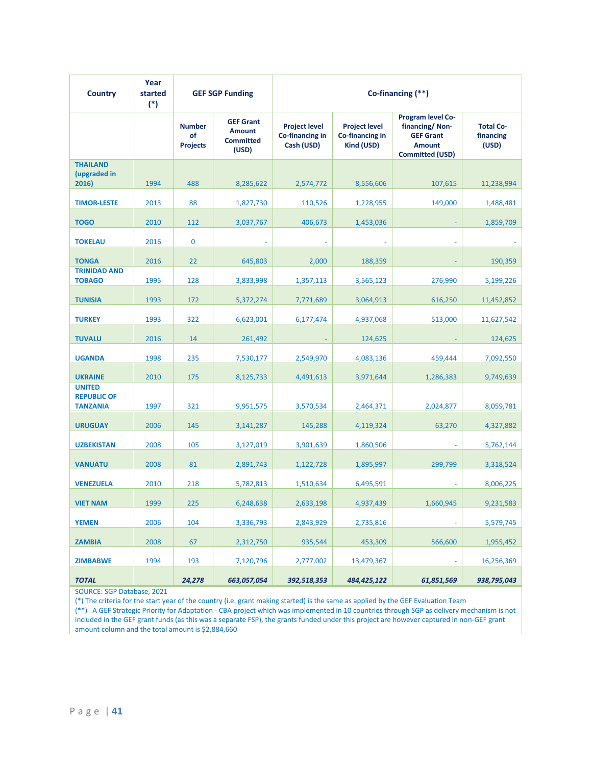| <b>Country</b>                                         | Year<br>started<br>$(*)$ | <b>GEF SGP Funding</b>                 |                                                                | Co-financing (**)                                     |                                                       |                                                                                                    |                                        |
|--------------------------------------------------------|--------------------------|----------------------------------------|----------------------------------------------------------------|-------------------------------------------------------|-------------------------------------------------------|----------------------------------------------------------------------------------------------------|----------------------------------------|
|                                                        |                          | <b>Number</b><br>of<br><b>Projects</b> | <b>GEF Grant</b><br><b>Amount</b><br><b>Committed</b><br>(USD) | <b>Project level</b><br>Co-financing in<br>Cash (USD) | <b>Project level</b><br>Co-financing in<br>Kind (USD) | Program level Co-<br>financing/Non-<br><b>GEF Grant</b><br><b>Amount</b><br><b>Committed (USD)</b> | <b>Total Co-</b><br>financing<br>(USD) |
| <b>THAILAND</b><br>(upgraded in<br>2016)               | 1994                     | 488                                    | 8,285,622                                                      | 2,574,772                                             | 8,556,606                                             | 107,615                                                                                            | 11,238,994                             |
| <b>TIMOR-LESTE</b>                                     | 2013                     | 88                                     | 1,827,730                                                      | 110,526                                               | 1,228,955                                             | 149,000                                                                                            | 1,488,481                              |
| <b>TOGO</b>                                            | 2010                     | 112                                    | 3,037,767                                                      | 406,673                                               | 1,453,036                                             |                                                                                                    | 1,859,709                              |
| <b>TOKELAU</b>                                         | 2016                     | $\bf{0}$                               |                                                                |                                                       |                                                       |                                                                                                    |                                        |
| <b>TONGA</b>                                           | 2016                     | 22                                     | 645,803                                                        | 2,000                                                 | 188,359                                               |                                                                                                    | 190,359                                |
| <b>TRINIDAD AND</b><br><b>TOBAGO</b>                   | 1995                     | 128                                    | 3,833,998                                                      | 1,357,113                                             | 3,565,123                                             | 276,990                                                                                            | 5,199,226                              |
| <b>TUNISIA</b>                                         | 1993                     | 172                                    | 5,372,274                                                      | 7,771,689                                             | 3,064,913                                             | 616,250                                                                                            | 11,452,852                             |
| <b>TURKEY</b>                                          | 1993                     | 322                                    | 6,623,001                                                      | 6,177,474                                             | 4,937,068                                             | 513,000                                                                                            | 11,627,542                             |
| <b>TUVALU</b>                                          | 2016                     | 14                                     | 261,492                                                        |                                                       | 124,625                                               |                                                                                                    | 124,625                                |
| <b>UGANDA</b>                                          | 1998                     | 235                                    | 7,530,177                                                      | 2,549,970                                             | 4,083,136                                             | 459,444                                                                                            | 7,092,550                              |
| <b>UKRAINE</b>                                         | 2010                     | 175                                    | 8,125,733                                                      | 4,491,613                                             | 3,971,644                                             | 1,286,383                                                                                          | 9,749,639                              |
| <b>UNITED</b><br><b>REPUBLIC OF</b><br><b>TANZANIA</b> | 1997                     | 321                                    | 9,951,575                                                      | 3,570,534                                             | 2,464,371                                             | 2,024,877                                                                                          | 8,059,781                              |
| <b>URUGUAY</b>                                         | 2006                     | 145                                    | 3,141,287                                                      | 145,288                                               | 4,119,324                                             | 63,270                                                                                             | 4,327,882                              |
| <b>UZBEKISTAN</b>                                      | 2008                     | 105                                    | 3,127,019                                                      | 3,901,639                                             | 1,860,506                                             |                                                                                                    | 5,762,144                              |
| <b>VANUATU</b>                                         | 2008                     | 81                                     | 2,891,743                                                      | 1,122,728                                             | 1,895,997                                             | 299,799                                                                                            | 3,318,524                              |
| <b>VENEZUELA</b>                                       | 2010                     | 218                                    | 5,782,813                                                      | 1,510,634                                             | 6,495,591                                             |                                                                                                    | 8,006,225                              |
| <b>VIET NAM</b>                                        | 1999                     | 225                                    | 6,248,638                                                      | 2,633,198                                             | 4,937,439                                             | 1,660,945                                                                                          | 9,231,583                              |
| <b>YEMEN</b>                                           | 2006                     | 104                                    | 3,336,793                                                      | 2,843,929                                             | 2,735,816                                             |                                                                                                    | 5,579,745                              |
| <b>ZAMBIA</b>                                          | 2008                     | 67                                     | 2,312,750                                                      | 935,544                                               | 453,309                                               | 566,600                                                                                            | 1,955,452                              |
| <b>ZIMBABWE</b>                                        | 1994                     | 193                                    | 7,120,796                                                      | 2,777,002                                             | 13,479,367                                            |                                                                                                    | 16,256,369                             |
| <b>TOTAL</b>                                           |                          | 24,278                                 | 663,057,054                                                    | 392,518,353                                           | 484,425,122                                           | 61,851,569                                                                                         | 938,795,043                            |

SOURCE: SGP Database, 2021

(\*) The criteria for the start year of the country (i.e. grant making started) is the same as applied by the GEF Evaluation Team

(\*\*) A GEF Strategic Priority for Adaptation - CBA project which was implemented in 10 countries through SGP as delivery mechanism is not included in the GEF grant funds (as this was a separate FSP), the grants funded under this project are however captured in non-GEF grant amount column and the total amount is \$2,884,660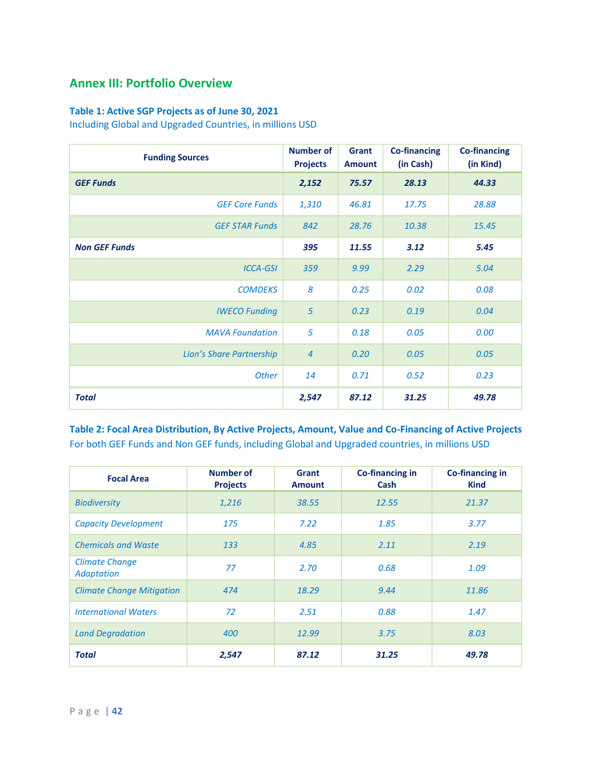# **Annex III: Portfolio Overview**

### **Table 1: Active SGP Projects as of June 30, 2021**

Including Global and Upgraded Countries, in millions USD

| <b>Funding Sources</b>   | <b>Number of</b><br><b>Projects</b> | Grant<br><b>Amount</b> | <b>Co-financing</b><br>(in Cash) | <b>Co-financing</b><br>(in Kind) |
|--------------------------|-------------------------------------|------------------------|----------------------------------|----------------------------------|
| <b>GEF Funds</b>         | 2,152                               | 75.57                  | 28.13                            | 44.33                            |
| <b>GEF Core Funds</b>    | 1,310                               | 46.81                  | 17.75                            | 28.88                            |
| <b>GEF STAR Funds</b>    | 842                                 | 28.76                  | 10.38                            | 15.45                            |
| <b>Non GEF Funds</b>     | 395                                 | 11.55                  | 3.12                             | 5.45                             |
| <b>ICCA-GSI</b>          | 359                                 | 9.99                   | 2.29                             | 5.04                             |
| <b>COMDEKS</b>           | 8                                   | 0.25                   | 0.02                             | 0.08                             |
| <b>IWECO Funding</b>     | 5                                   | 0.23                   | 0.19                             | 0.04                             |
| <b>MAVA Foundation</b>   | 5                                   | 0.18                   | 0.05                             | 0.00                             |
| Lion's Share Partnership | $\overline{4}$                      | 0.20                   | 0.05                             | 0.05                             |
| <b>Other</b>             | 14                                  | 0.71                   | 0.52                             | 0.23                             |
| <b>Total</b>             | 2,547                               | 87.12                  | 31.25                            | 49.78                            |

**Table 2: Focal Area Distribution, By Active Projects, Amount, Value and Co-Financing of Active Projects** For both GEF Funds and Non GEF funds, including Global and Upgraded countries, in millions USD

| <b>Focal Area</b>                          | <b>Number of</b><br><b>Projects</b> | <b>Grant</b><br><b>Amount</b> | <b>Co-financing in</b><br>Cash | <b>Co-financing in</b><br><b>Kind</b> |
|--------------------------------------------|-------------------------------------|-------------------------------|--------------------------------|---------------------------------------|
| <b>Biodiversity</b>                        | 1,216                               | 38.55                         | 12.55                          | 21.37                                 |
| <b>Capacity Development</b>                | 175                                 | 7.22                          | 1.85                           | 3.77                                  |
| <b>Chemicals and Waste</b>                 | 133                                 | 4.85                          | 2.11                           | 2.19                                  |
| <b>Climate Change</b><br><b>Adaptation</b> | 77                                  | 2.70                          | 0.68                           | 1.09                                  |
| <b>Climate Change Mitigation</b>           | 474                                 | 18.29                         | 9.44                           | 11.86                                 |
| <b>International Waters</b>                | 72                                  | 2.51                          | 0.88                           | 1.47                                  |
| <b>Land Degradation</b>                    | 400                                 | 12.99                         | 3.75                           | 8.03                                  |
| <b>Total</b>                               | 2,547                               | 87.12                         | 31.25                          | 49.78                                 |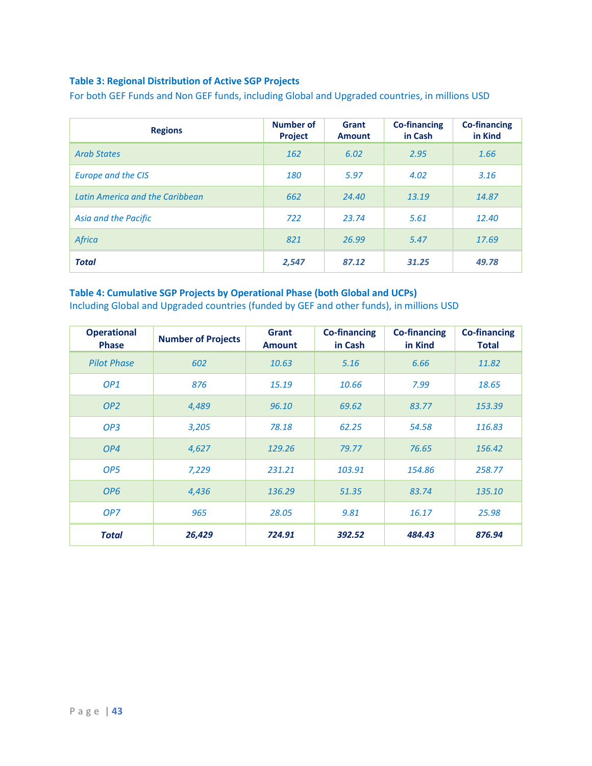### **Table 3: Regional Distribution of Active SGP Projects**

For both GEF Funds and Non GEF funds, including Global and Upgraded countries, in millions USD

| <b>Regions</b>                  | <b>Number of</b><br>Project | Grant<br><b>Amount</b> | <b>Co-financing</b><br>in Cash | <b>Co-financing</b><br>in Kind |
|---------------------------------|-----------------------------|------------------------|--------------------------------|--------------------------------|
| <b>Arab States</b>              | 162                         | 6.02                   | 2.95                           | 1.66                           |
| Europe and the CIS              | 180                         | 5.97                   | 4.02                           | 3.16                           |
| Latin America and the Caribbean | 662                         | 24.40                  | 13.19                          | 14.87                          |
| Asia and the Pacific            | 722                         | 23.74                  | 5.61                           | 12.40                          |
| Africa                          | 821                         | 26.99                  | 5.47                           | 17.69                          |
| <b>Total</b>                    | 2,547                       | 87.12                  | 31.25                          | 49.78                          |

### **Table 4: Cumulative SGP Projects by Operational Phase (both Global and UCPs)**

Including Global and Upgraded countries (funded by GEF and other funds), in millions USD

| <b>Operational</b><br><b>Phase</b> | <b>Number of Projects</b> | <b>Grant</b><br><b>Amount</b> | <b>Co-financing</b><br>in Cash | <b>Co-financing</b><br>in Kind | <b>Co-financing</b><br>Total |
|------------------------------------|---------------------------|-------------------------------|--------------------------------|--------------------------------|------------------------------|
| <b>Pilot Phase</b>                 | 602                       | 10.63                         | 5.16                           | 6.66                           | 11.82                        |
| OP <sub>1</sub>                    | 876                       | 15.19                         | 10.66                          | 7.99                           | 18.65                        |
| OP <sub>2</sub>                    | 4,489                     | 96.10                         | 69.62                          | 83.77                          | 153.39                       |
| OP <sub>3</sub>                    | 3,205                     | 78.18                         | 62.25                          | 54.58                          | 116.83                       |
| OP4                                | 4,627                     | 129.26                        | 79.77                          | 76.65                          | 156.42                       |
| OP <sub>5</sub>                    | 7,229                     | 231.21                        | 103.91                         | 154.86                         | 258.77                       |
| OP <sub>6</sub>                    | 4,436                     | 136.29                        | 51.35                          | 83.74                          | 135.10                       |
| OP <sub>7</sub>                    | 965                       | 28.05                         | 9.81                           | 16.17                          | 25.98                        |
| Total                              | 26,429                    | 724.91                        | 392.52                         | 484.43                         | 876.94                       |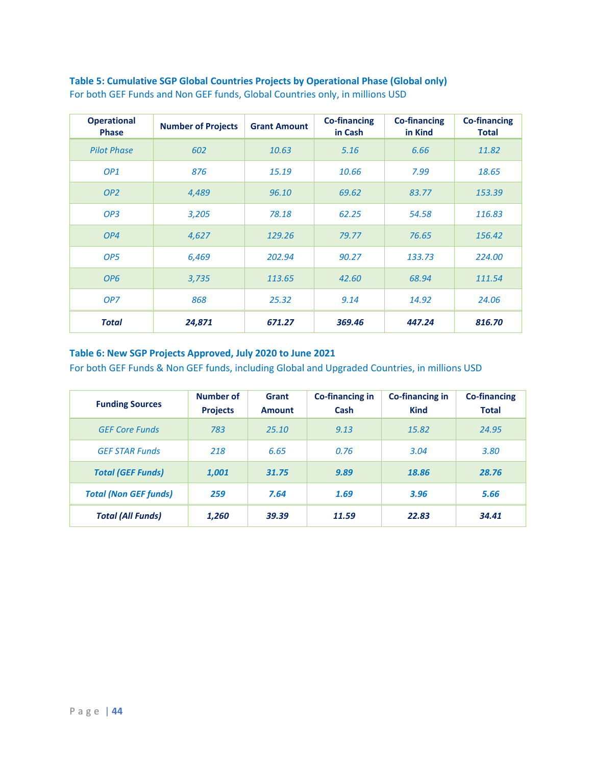| <b>Operational</b><br><b>Phase</b> | <b>Number of Projects</b> | <b>Grant Amount</b> | <b>Co-financing</b><br>in Cash | <b>Co-financing</b><br>in Kind | <b>Co-financing</b><br><b>Total</b> |
|------------------------------------|---------------------------|---------------------|--------------------------------|--------------------------------|-------------------------------------|
| <b>Pilot Phase</b>                 | 602                       | 10.63               | 5.16                           | 6.66                           | 11.82                               |
| OP <sub>1</sub>                    | 876                       | 15.19               | 10.66                          | 7.99                           | 18.65                               |
| OP <sub>2</sub>                    | 4,489                     | 96.10               | 69.62                          | 83.77                          | 153.39                              |
| OP <sub>3</sub>                    | 3,205                     | 78.18               | 62.25                          | 54.58                          | 116.83                              |
| OP4                                | 4,627                     | 129.26              | 79.77                          | 76.65                          | 156.42                              |
| OP <sub>5</sub>                    | 6,469                     | 202.94              | 90.27                          | 133.73                         | 224.00                              |
| OP <sub>6</sub>                    | 3,735                     | 113.65              | 42.60                          | 68.94                          | 111.54                              |
| OP7                                | 868                       | 25.32               | 9.14                           | 14.92                          | 24.06                               |
| <b>Total</b>                       | 24,871                    | 671.27              | 369.46                         | 447.24                         | 816.70                              |

**Table 5: Cumulative SGP Global Countries Projects by Operational Phase (Global only)** For both GEF Funds and Non GEF funds, Global Countries only, in millions USD

### **Table 6: New SGP Projects Approved, July 2020 to June 2021**

For both GEF Funds & Non GEF funds, including Global and Upgraded Countries, in millions USD

| <b>Funding Sources</b>       | Number of<br><b>Projects</b> | Grant<br><b>Amount</b> | Co-financing in<br>Cash | Co-financing in<br><b>Kind</b> | <b>Co-financing</b><br><b>Total</b> |
|------------------------------|------------------------------|------------------------|-------------------------|--------------------------------|-------------------------------------|
| <b>GFF Core Funds</b>        | 783                          | 25.10                  | 9.13                    | 15.82                          | 24.95                               |
| <b>GEF STAR Funds</b>        | 218                          | 6.65                   | 0.76                    | 3.04                           | 3.80                                |
| <b>Total (GEF Funds)</b>     | 1,001                        | 31.75                  | 9.89                    | 18.86                          | 28.76                               |
| <b>Total (Non GEF funds)</b> | 259                          | 7.64                   | 1.69                    | 3.96                           | 5.66                                |
| <b>Total (All Funds)</b>     | 1,260                        | 39.39                  | 11.59                   | 22.83                          | 34.41                               |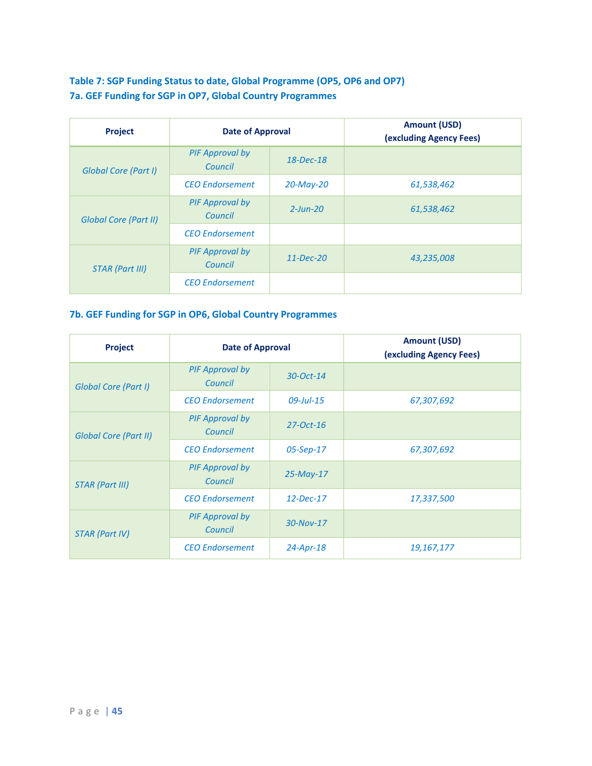### **Table 7: SGP Funding Status to date, Global Programme (OP5, OP6 and OP7) 7a. GEF Funding for SGP in OP7, Global Country Programmes**

| <b>Project</b>               | <b>Date of Approval</b>           |               | <b>Amount (USD)</b><br>(excluding Agency Fees) |
|------------------------------|-----------------------------------|---------------|------------------------------------------------|
| Global Core (Part I)         | <b>PIF Approval by</b><br>Council | $18$ -Dec-18  |                                                |
|                              | <b>CEO</b> Endorsement            | $20$ -May-20  | 61,538,462                                     |
| <b>Global Core (Part II)</b> | PIF Approval by<br>Council        | $2$ -Jun-20   | 61,538,462                                     |
|                              | <b>CEO</b> Endorsement            |               |                                                |
| <b>STAR (Part III)</b>       | <b>PIF Approval by</b><br>Council | $11 - Dec-20$ | 43,235,008                                     |
|                              | <b>CEO</b> Endorsement            |               |                                                |

### **7b. GEF Funding for SGP in OP6, Global Country Programmes**

| <b>Project</b>               | <b>Date of Approval</b>           |              | <b>Amount (USD)</b><br>(excluding Agency Fees) |
|------------------------------|-----------------------------------|--------------|------------------------------------------------|
| <b>Global Core (Part I)</b>  | <b>PIF Approval by</b><br>Council | 30-Oct-14    |                                                |
|                              | <b>CEO</b> Endorsement            | $09$ -Jul-15 | 67,307,692                                     |
| <b>Global Core (Part II)</b> | PIF Approval by<br>Council        | $27$ -Oct-16 |                                                |
|                              | <b>CEO</b> Endorsement            | $05-Sep-17$  | 67,307,692                                     |
| <b>STAR (Part III)</b>       | <b>PIF Approval by</b><br>Council | $25$ -May-17 |                                                |
|                              | <b>CEO</b> Endorsement            | $12$ -Dec-17 | 17,337,500                                     |
| <b>STAR (Part IV)</b>        | <b>PIF Approval by</b><br>Council | $30$ -Nov-17 |                                                |
|                              | <b>CEO Endorsement</b>            | $24$ -Apr-18 | 19,167,177                                     |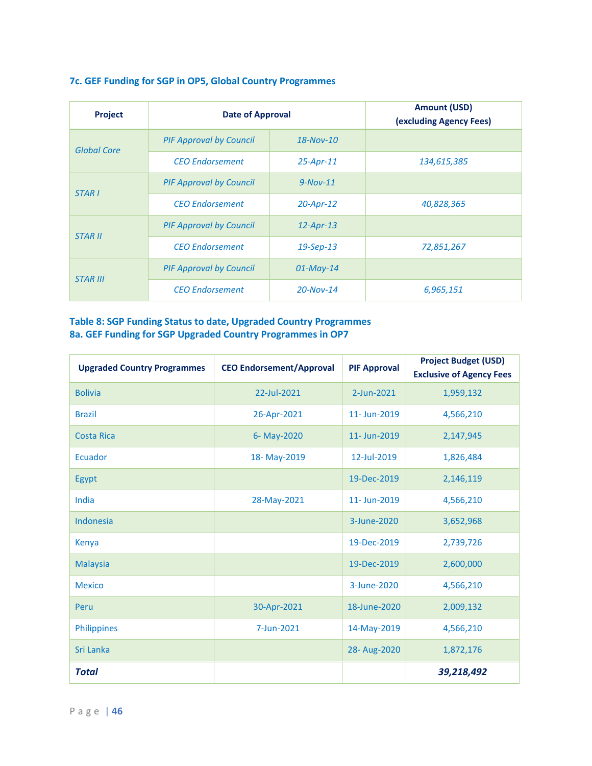| Project            | <b>Date of Approval</b>        |               | <b>Amount (USD)</b><br>(excluding Agency Fees) |
|--------------------|--------------------------------|---------------|------------------------------------------------|
| <b>Global Core</b> | <b>PIF Approval by Council</b> | $18-Nov-10$   |                                                |
|                    | <b>CEO</b> Endorsement         | $25$ -Apr-11  | 134,615,385                                    |
| <b>STARI</b>       | <b>PIF Approval by Council</b> | $9-Nov-11$    |                                                |
|                    | <b>CEO</b> Endorsement         | $20$ -Apr-12  | 40,828,365                                     |
| <b>STAR II</b>     | <b>PIF Approval by Council</b> | $12$ -Apr-13  |                                                |
|                    | <b>CEO</b> Endorsement         | $19$ -Sep-13  | 72,851,267                                     |
| <b>STAR III</b>    | <b>PIF Approval by Council</b> | $01$ -May-14  |                                                |
|                    | <b>CEO</b> Endorsement         | $20 - Nov-14$ | 6,965,151                                      |

### **7c. GEF Funding for SGP in OP5, Global Country Programmes**

### **Table 8: SGP Funding Status to date, Upgraded Country Programmes 8a. GEF Funding for SGP Upgraded Country Programmes in OP7**

| <b>Upgraded Country Programmes</b> | <b>CEO Endorsement/Approval</b> | <b>PIF Approval</b> | <b>Project Budget (USD)</b><br><b>Exclusive of Agency Fees</b> |
|------------------------------------|---------------------------------|---------------------|----------------------------------------------------------------|
| <b>Bolivia</b>                     | 22-Jul-2021                     | 2-Jun-2021          | 1,959,132                                                      |
| <b>Brazil</b>                      | 26-Apr-2021                     | 11- Jun-2019        | 4,566,210                                                      |
| <b>Costa Rica</b>                  | 6- May-2020                     | 11- Jun-2019        | 2,147,945                                                      |
| Ecuador                            | 18-May-2019                     | 12-Jul-2019         | 1,826,484                                                      |
| Egypt                              |                                 | 19-Dec-2019         | 2,146,119                                                      |
| India                              | 28-May-2021                     | 11- Jun-2019        | 4,566,210                                                      |
| Indonesia                          |                                 | 3-June-2020         | 3,652,968                                                      |
| Kenya                              |                                 | 19-Dec-2019         | 2,739,726                                                      |
| <b>Malaysia</b>                    |                                 | 19-Dec-2019         | 2,600,000                                                      |
| <b>Mexico</b>                      |                                 | 3-June-2020         | 4,566,210                                                      |
| Peru                               | 30-Apr-2021                     | 18-June-2020        | 2,009,132                                                      |
| <b>Philippines</b>                 | 7-Jun-2021                      | 14-May-2019         | 4,566,210                                                      |
| Sri Lanka                          |                                 | 28-Aug-2020         | 1,872,176                                                      |
| <b>Total</b>                       |                                 |                     | 39,218,492                                                     |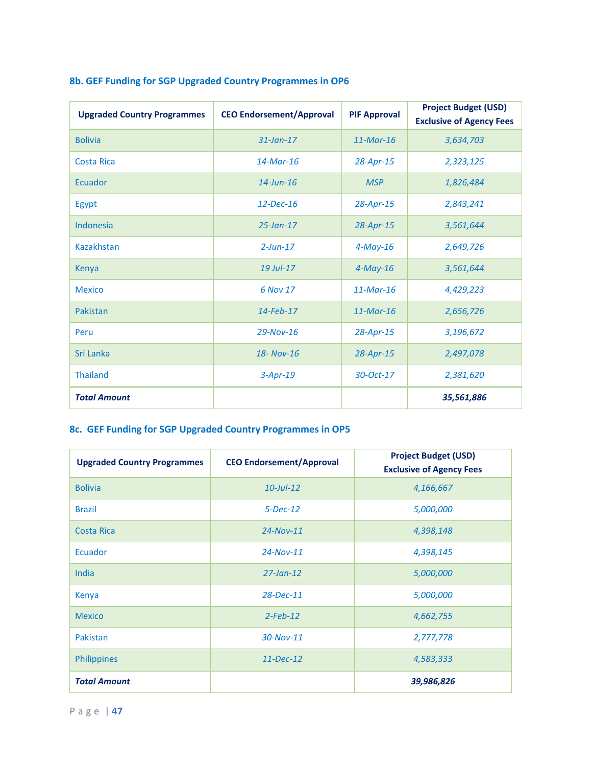| <b>Upgraded Country Programmes</b> | <b>CEO Endorsement/Approval</b> | <b>PIF Approval</b> | <b>Project Budget (USD)</b><br><b>Exclusive of Agency Fees</b> |
|------------------------------------|---------------------------------|---------------------|----------------------------------------------------------------|
| <b>Bolivia</b>                     | $31$ -Jan-17                    | $11-Mar-16$         | 3,634,703                                                      |
| <b>Costa Rica</b>                  | $14$ -Mar-16                    | 28-Apr-15           | 2,323,125                                                      |
| Ecuador                            | $14$ -Jun-16                    | <b>MSP</b>          | 1,826,484                                                      |
| Egypt                              | 12-Dec-16                       | 28-Apr-15           | 2,843,241                                                      |
| Indonesia                          | $25$ -Jan-17                    | $28$ -Apr-15        | 3,561,644                                                      |
| Kazakhstan                         | $2$ -Jun-17                     | $4$ -May-16         | 2,649,726                                                      |
| Kenya                              | 19 Jul-17                       | $4$ -May-16         | 3,561,644                                                      |
| <b>Mexico</b>                      | 6 Nov 17                        | $11$ -Mar-16        | 4,429,223                                                      |
| Pakistan                           | $14$ -Feb-17                    | $11$ -Mar-16        | 2,656,726                                                      |
| Peru                               | 29-Nov-16                       | 28-Apr-15           | 3,196,672                                                      |
| Sri Lanka                          | 18- Nov-16                      | $28$ -Apr-15        | 2,497,078                                                      |
| <b>Thailand</b>                    | $3-Apr-19$                      | 30-Oct-17           | 2,381,620                                                      |
| <b>Total Amount</b>                |                                 |                     | 35,561,886                                                     |

# **8b. GEF Funding for SGP Upgraded Country Programmes in OP6**

# **8c. GEF Funding for SGP Upgraded Country Programmes in OP5**

| <b>Upgraded Country Programmes</b> | <b>CEO Endorsement/Approval</b> | <b>Project Budget (USD)</b><br><b>Exclusive of Agency Fees</b> |
|------------------------------------|---------------------------------|----------------------------------------------------------------|
| <b>Bolivia</b>                     | $10$ -Jul-12                    | 4,166,667                                                      |
| <b>Brazil</b>                      | $5 - Dec - 12$                  | 5,000,000                                                      |
| <b>Costa Rica</b>                  | $24 - Nov-11$                   | 4,398,148                                                      |
| <b>Ecuador</b>                     | $24 - Nov-11$                   | 4,398,145                                                      |
| India                              | $27$ -Jan-12                    | 5,000,000                                                      |
| Kenya                              | 28-Dec-11                       | 5,000,000                                                      |
| <b>Mexico</b>                      | $2$ -Feb-12                     | 4,662,755                                                      |
| Pakistan                           | 30-Nov-11                       | 2,777,778                                                      |
| Philippines                        | $11 - Dec-12$                   | 4,583,333                                                      |
| <b>Total Amount</b>                |                                 | 39,986,826                                                     |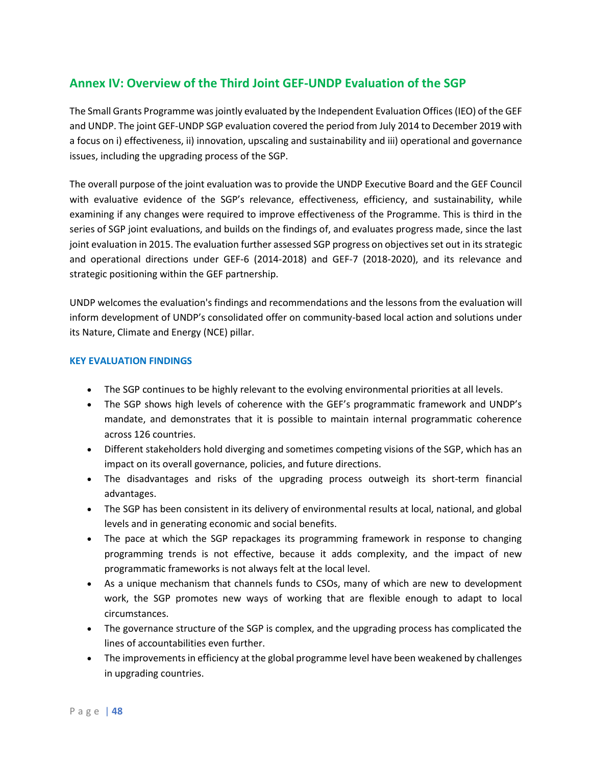# **Annex IV: Overview of the Third Joint GEF-UNDP Evaluation of the SGP**

The Small Grants Programme was jointly evaluated by the Independent Evaluation Offices (IEO) of the GEF and UNDP. The joint GEF-UNDP SGP evaluation covered the period from July 2014 to December 2019 with a focus on i) effectiveness, ii) innovation, upscaling and sustainability and iii) operational and governance issues, including the upgrading process of the SGP.

The overall purpose of the joint evaluation was to provide the UNDP Executive Board and the GEF Council with evaluative evidence of the SGP's relevance, effectiveness, efficiency, and sustainability, while examining if any changes were required to improve effectiveness of the Programme. This is third in the series of SGP joint evaluations, and builds on the findings of, and evaluates progress made, since the last joint evaluation in 2015. The evaluation further assessed SGP progress on objectives set out in its strategic and operational directions under GEF-6 (2014-2018) and GEF-7 (2018-2020), and its relevance and strategic positioning within the GEF partnership.

UNDP welcomes the evaluation's findings and recommendations and the lessons from the evaluation will inform development of UNDP's consolidated offer on community-based local action and solutions under its Nature, Climate and Energy (NCE) pillar.

### **KEY EVALUATION FINDINGS**

- The SGP continues to be highly relevant to the evolving environmental priorities at all levels.
- The SGP shows high levels of coherence with the GEF's programmatic framework and UNDP's mandate, and demonstrates that it is possible to maintain internal programmatic coherence across 126 countries.
- Different stakeholders hold diverging and sometimes competing visions of the SGP, which has an impact on its overall governance, policies, and future directions.
- The disadvantages and risks of the upgrading process outweigh its short-term financial advantages.
- The SGP has been consistent in its delivery of environmental results at local, national, and global levels and in generating economic and social benefits.
- The pace at which the SGP repackages its programming framework in response to changing programming trends is not effective, because it adds complexity, and the impact of new programmatic frameworks is not always felt at the local level.
- As a unique mechanism that channels funds to CSOs, many of which are new to development work, the SGP promotes new ways of working that are flexible enough to adapt to local circumstances.
- The governance structure of the SGP is complex, and the upgrading process has complicated the lines of accountabilities even further.
- The improvements in efficiency at the global programme level have been weakened by challenges in upgrading countries.